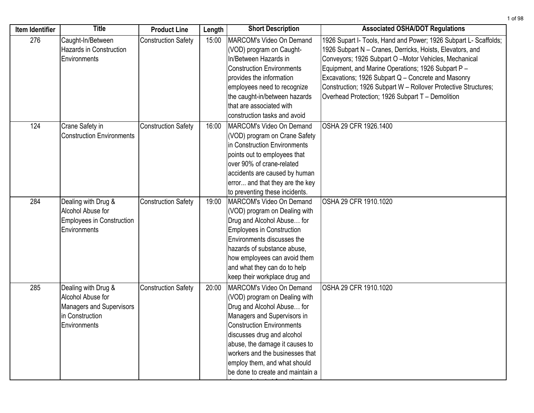| Item Identifier | <b>Title</b>                                                                                                   | <b>Product Line</b>        | Length | <b>Short Description</b>                                                                                                                                                                                                                                                                                                          | <b>Associated OSHA/DOT Regulations</b>                                                                                                                                                                                                                                                                                                                                                                                   |
|-----------------|----------------------------------------------------------------------------------------------------------------|----------------------------|--------|-----------------------------------------------------------------------------------------------------------------------------------------------------------------------------------------------------------------------------------------------------------------------------------------------------------------------------------|--------------------------------------------------------------------------------------------------------------------------------------------------------------------------------------------------------------------------------------------------------------------------------------------------------------------------------------------------------------------------------------------------------------------------|
| 276             | Caught-In/Between<br>Hazards in Construction<br>Environments                                                   | <b>Construction Safety</b> | 15:00  | MARCOM's Video On Demand<br>(VOD) program on Caught-<br>In/Between Hazards in<br><b>Construction Environments</b><br>provides the information<br>employees need to recognize<br>the caught-in/between hazards<br>that are associated with<br>construction tasks and avoid                                                         | 1926 Supart I- Tools, Hand and Power; 1926 Subpart L- Scaffolds;<br>1926 Subpart N - Cranes, Derricks, Hoists, Elevators, and<br>Conveyors; 1926 Subpart O -Motor Vehicles, Mechanical<br>Equipment, and Marine Operations; 1926 Subpart P -<br>Excavations; 1926 Subpart Q - Concrete and Masonry<br>Construction; 1926 Subpart W - Rollover Protective Structures;<br>Overhead Protection; 1926 Subpart T - Demolition |
| 124             | Crane Safety in<br><b>Construction Environments</b>                                                            | <b>Construction Safety</b> | 16:00  | MARCOM's Video On Demand<br>(VOD) program on Crane Safety<br>in Construction Environments<br>points out to employees that<br>over 90% of crane-related<br>accidents are caused by human<br>error and that they are the key<br>to preventing these incidents.                                                                      | OSHA 29 CFR 1926.1400                                                                                                                                                                                                                                                                                                                                                                                                    |
| 284             | Dealing with Drug &<br>Alcohol Abuse for<br><b>Employees in Construction</b><br>Environments                   | <b>Construction Safety</b> | 19:00  | MARCOM's Video On Demand<br>(VOD) program on Dealing with<br>Drug and Alcohol Abuse for<br><b>Employees in Construction</b><br>Environments discusses the<br>hazards of substance abuse,<br>how employees can avoid them<br>and what they can do to help<br>keep their workplace drug and                                         | OSHA 29 CFR 1910.1020                                                                                                                                                                                                                                                                                                                                                                                                    |
| 285             | Dealing with Drug &<br>Alcohol Abuse for<br><b>Managers and Supervisors</b><br>in Construction<br>Environments | <b>Construction Safety</b> | 20:00  | MARCOM's Video On Demand<br>(VOD) program on Dealing with<br>Drug and Alcohol Abuse for<br>Managers and Supervisors in<br><b>Construction Environments</b><br>discusses drug and alcohol<br>abuse, the damage it causes to<br>workers and the businesses that<br>employ them, and what should<br>be done to create and maintain a | OSHA 29 CFR 1910.1020                                                                                                                                                                                                                                                                                                                                                                                                    |

d d l h l f j b it it b it f j b it b it it b it it it is derestig it it is derestig it it is derestig it is d<br>It is derestig it is derestig it is derestig it is derestig it is derestig it is derestig it is derestig it is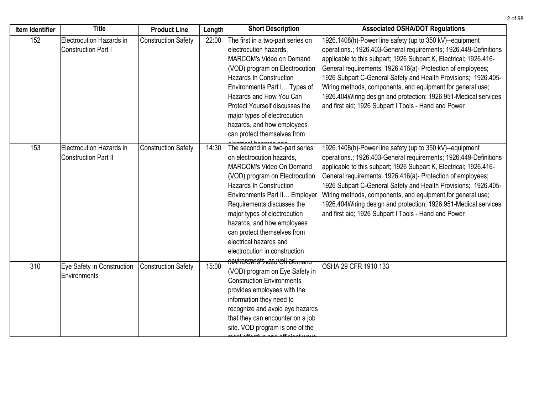| Item Identifier | <b>Title</b>                                                   | <b>Product Line</b>        | Length | <b>Short Description</b>                                                                                                                                                                                                                                                                                                                                                                                                                            | <b>Associated OSHA/DOT Regulations</b>                                                                                                                                                                                                                                                                                                                                                                                                                                                                                       |
|-----------------|----------------------------------------------------------------|----------------------------|--------|-----------------------------------------------------------------------------------------------------------------------------------------------------------------------------------------------------------------------------------------------------------------------------------------------------------------------------------------------------------------------------------------------------------------------------------------------------|------------------------------------------------------------------------------------------------------------------------------------------------------------------------------------------------------------------------------------------------------------------------------------------------------------------------------------------------------------------------------------------------------------------------------------------------------------------------------------------------------------------------------|
| 152             | <b>Electrocution Hazards in</b><br><b>Construction Part I</b>  | <b>Construction Safety</b> | 22:00  | The first in a two-part series on<br>electrocution hazards,<br><b>MARCOM's Video on Demand</b><br>(VOD) program on Electrocution<br><b>Hazards In Construction</b><br>Environments Part I Types of<br>Hazards and How You Can<br>Protect Yourself discusses the<br>major types of electrocution<br>hazards, and how employees<br>can protect themselves from                                                                                        | 1926.1408(h)-Power line safety (up to 350 kV)--equipment<br>operations.; 1926.403-General requirements; 1926.449-Definitions<br>applicable to this subpart; 1926 Subpart K, Electrical; 1926.416-<br>General requirements; 1926.416(a)- Protection of employees;<br>1926 Subpart C-General Safety and Health Provisions; 1926.405-<br>Wiring methods, components, and equipment for general use;<br>1926.404 Wiring design and protection; 1926.951-Medical services<br>and first aid; 1926 Subpart I Tools - Hand and Power |
| 153             | <b>Electrocution Hazards in</b><br><b>Construction Part II</b> | Construction Safety        | 14:30  | The second in a two-part series<br>on electrocution hazards,<br><b>MARCOM's Video On Demand</b><br>(VOD) program on Electrocution<br><b>Hazards In Construction</b><br>Environments Part II Employer<br>Requirements discusses the<br>major types of electrocution<br>hazards, and how employees<br>can protect themselves from<br>electrical hazards and<br>electrocution in construction<br><del>MAXKCOMPS<sup>t</sup> จิเนียบ "Oll Demanu"</del> | 1926.1408(h)-Power line safety (up to 350 kV)--equipment<br>operations.; 1926.403-General requirements; 1926.449-Definitions<br>applicable to this subpart; 1926 Subpart K, Electrical; 1926.416-<br>General requirements; 1926.416(a)- Protection of employees;<br>1926 Subpart C-General Safety and Health Provisions; 1926.405-<br>Wiring methods, components, and equipment for general use;<br>1926.404 Wiring design and protection; 1926.951-Medical services<br>and first aid; 1926 Subpart I Tools - Hand and Power |
| 310             | Eye Safety in Construction<br>Environments                     | <b>Construction Safety</b> | 15:00  | (VOD) program on Eye Safety in<br><b>Construction Environments</b><br>provides employees with the<br>information they need to<br>recognize and avoid eye hazards<br>that they can encounter on a job<br>site. VOD program is one of the<br>affaatiya and afficiant                                                                                                                                                                                  | OSHA 29 CFR 1910.133                                                                                                                                                                                                                                                                                                                                                                                                                                                                                                         |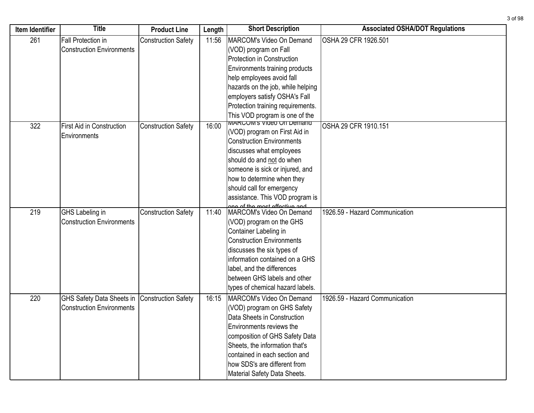| Item Identifier | <b>Title</b>                                                  | <b>Product Line</b>        | Length | <b>Short Description</b>                                                                                                                                                                                                                                                                                                         | <b>Associated OSHA/DOT Regulations</b> |
|-----------------|---------------------------------------------------------------|----------------------------|--------|----------------------------------------------------------------------------------------------------------------------------------------------------------------------------------------------------------------------------------------------------------------------------------------------------------------------------------|----------------------------------------|
| 261             | Fall Protection in<br><b>Construction Environments</b>        | <b>Construction Safety</b> | 11:56  | <b>MARCOM's Video On Demand</b><br>(VOD) program on Fall<br>Protection in Construction<br>Environments training products<br>help employees avoid fall<br>hazards on the job, while helping<br>employers satisfy OSHA's Fall<br>Protection training requirements.                                                                 | OSHA 29 CFR 1926.501                   |
| 322             | <b>First Aid in Construction</b><br>Environments              | Construction Safety        | 16:00  | This VOD program is one of the<br><b>MARCOM'S VIDEO ON Demand</b><br>(VOD) program on First Aid in<br><b>Construction Environments</b><br>discusses what employees<br>should do and not do when<br>someone is sick or injured, and<br>how to determine when they<br>should call for emergency<br>assistance. This VOD program is | OSHA 29 CFR 1910.151                   |
| 219             | GHS Labeling in<br><b>Construction Environments</b>           | <b>Construction Safety</b> | 11:40  | ang of the most effective and<br><b>MARCOM's Video On Demand</b><br>(VOD) program on the GHS<br>Container Labeling in<br><b>Construction Environments</b><br>discusses the six types of<br>information contained on a GHS<br>label, and the differences<br>between GHS labels and other<br>types of chemical hazard labels.      | 1926.59 - Hazard Communication         |
| 220             | GHS Safety Data Sheets in<br><b>Construction Environments</b> | Construction Safety        | 16:15  | <b>MARCOM's Video On Demand</b><br>(VOD) program on GHS Safety<br>Data Sheets in Construction<br>Environments reviews the<br>composition of GHS Safety Data<br>Sheets, the information that's<br>contained in each section and<br>how SDS's are different from<br>Material Safety Data Sheets.                                   | 1926.59 - Hazard Communication         |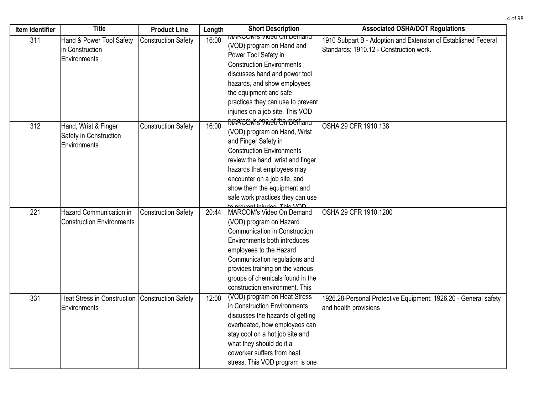| Item Identifier | <b>Title</b>                                                   | <b>Product Line</b>        | Length | <b>Short Description</b>                                                                                                                                                                                                                                                                                                        | <b>Associated OSHA/DOT Regulations</b>                                                                    |
|-----------------|----------------------------------------------------------------|----------------------------|--------|---------------------------------------------------------------------------------------------------------------------------------------------------------------------------------------------------------------------------------------------------------------------------------------------------------------------------------|-----------------------------------------------------------------------------------------------------------|
| 311             | Hand & Power Tool Safety<br>in Construction<br>Environments    | <b>Construction Safety</b> | 16:00  | <b>MARCOM'S VIDEO ON Demand</b><br>(VOD) program on Hand and<br>Power Tool Safety in<br><b>Construction Environments</b><br>discusses hand and power tool<br>hazards, and show employees<br>the equipment and safe<br>practices they can use to prevent<br>injuries on a job site. This VOD                                     | 1910 Subpart B - Adoption and Extension of Established Federal<br>Standards; 1910.12 - Construction work. |
| 312             | Hand, Wrist & Finger<br>Safety in Construction<br>Environments | <b>Construction Safety</b> | 16:00  | MARCONTs Video ton Definance<br>(VOD) program on Hand, Wrist<br>and Finger Safety in<br><b>Construction Environments</b><br>review the hand, wrist and finger<br>hazards that employees may<br>encounter on a job site, and<br>show them the equipment and<br>safe work practices they can use<br>to provent injuries. This VOD | OSHA 29 CFR 1910.138                                                                                      |
| 221             | Hazard Communication in<br><b>Construction Environments</b>    | <b>Construction Safety</b> | 20:44  | MARCOM's Video On Demand<br>(VOD) program on Hazard<br>Communication in Construction<br>Environments both introduces<br>employees to the Hazard<br>Communication regulations and<br>provides training on the various<br>groups of chemicals found in the<br>construction environment. This                                      | OSHA 29 CFR 1910.1200                                                                                     |
| 331             | <b>Heat Stress in Construction</b><br>Environments             | Construction Safety        | 12:00  | (VOD) program on Heat Stress<br>in Construction Environments<br>discusses the hazards of getting<br>overheated, how employees can<br>stay cool on a hot job site and<br>what they should do if a<br>coworker suffers from heat<br>stress. This VOD program is one                                                               | 1926.28-Personal Protective Equipment; 1926.20 - General safety<br>and health provisions                  |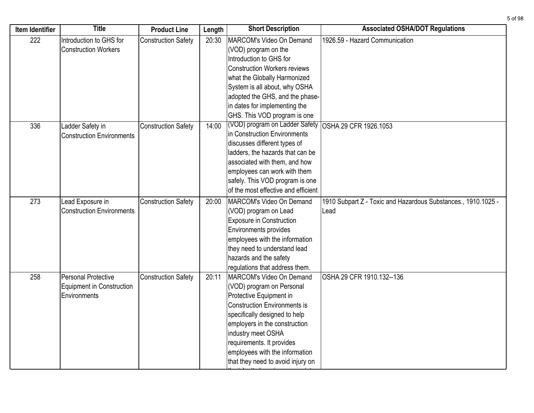| Item Identifier | <b>Title</b>                                           | <b>Product Line</b>        | Length | <b>Short Description</b>                                            | <b>Associated OSHA/DOT Regulations</b>                        |
|-----------------|--------------------------------------------------------|----------------------------|--------|---------------------------------------------------------------------|---------------------------------------------------------------|
| 222             | Introduction to GHS for<br><b>Construction Workers</b> | <b>Construction Safety</b> | 20:30  | MARCOM's Video On Demand<br>(VOD) program on the                    | 1926.59 - Hazard Communication                                |
|                 |                                                        |                            |        | Introduction to GHS for                                             |                                                               |
|                 |                                                        |                            |        | <b>Construction Workers reviews</b>                                 |                                                               |
|                 |                                                        |                            |        | what the Globally Harmonized                                        |                                                               |
|                 |                                                        |                            |        | System is all about, why OSHA                                       |                                                               |
|                 |                                                        |                            |        | adopted the GHS, and the phase-                                     |                                                               |
|                 |                                                        |                            |        | in dates for implementing the                                       |                                                               |
|                 |                                                        |                            |        | GHS. This VOD program is one                                        |                                                               |
| 336             | Ladder Safety in                                       | <b>Construction Safety</b> | 14:00  | (VOD) program on Ladder Safety                                      | OSHA 29 CFR 1926.1053                                         |
|                 | <b>Construction Environments</b>                       |                            |        | in Construction Environments                                        |                                                               |
|                 |                                                        |                            |        | discusses different types of                                        |                                                               |
|                 |                                                        |                            |        | ladders, the hazards that can be                                    |                                                               |
|                 |                                                        |                            |        | associated with them, and how                                       |                                                               |
|                 |                                                        |                            |        | employees can work with them                                        |                                                               |
|                 |                                                        |                            |        | safely. This VOD program is one                                     |                                                               |
|                 |                                                        |                            |        | of the most effective and efficient                                 |                                                               |
| 273             | Lead Exposure in                                       | <b>Construction Safety</b> | 20:00  | MARCOM's Video On Demand                                            | 1910 Subpart Z - Toxic and Hazardous Substances., 1910.1025 - |
|                 | <b>Construction Environments</b>                       |                            |        | (VOD) program on Lead                                               | Lead                                                          |
|                 |                                                        |                            |        | <b>Exposure in Construction</b>                                     |                                                               |
|                 |                                                        |                            |        | Environments provides                                               |                                                               |
|                 |                                                        |                            |        | employees with the information                                      |                                                               |
|                 |                                                        |                            |        | they need to understand lead                                        |                                                               |
|                 |                                                        |                            |        | hazards and the safety                                              |                                                               |
|                 |                                                        |                            |        | regulations that address them.                                      |                                                               |
| 258             | <b>Personal Protective</b>                             | <b>Construction Safety</b> | 20:11  | MARCOM's Video On Demand                                            | OSHA 29 CFR 1910.132--136                                     |
|                 | <b>Equipment in Construction</b>                       |                            |        | (VOD) program on Personal                                           |                                                               |
|                 | Environments                                           |                            |        | Protective Equipment in                                             |                                                               |
|                 |                                                        |                            |        | <b>Construction Environments is</b>                                 |                                                               |
|                 |                                                        |                            |        | specifically designed to help                                       |                                                               |
|                 |                                                        |                            |        | employers in the construction                                       |                                                               |
|                 |                                                        |                            |        | industry meet OSHA                                                  |                                                               |
|                 |                                                        |                            |        | requirements. It provides                                           |                                                               |
|                 |                                                        |                            |        | employees with the information<br>that they need to avoid injury on |                                                               |
|                 |                                                        |                            |        |                                                                     |                                                               |

5 of 98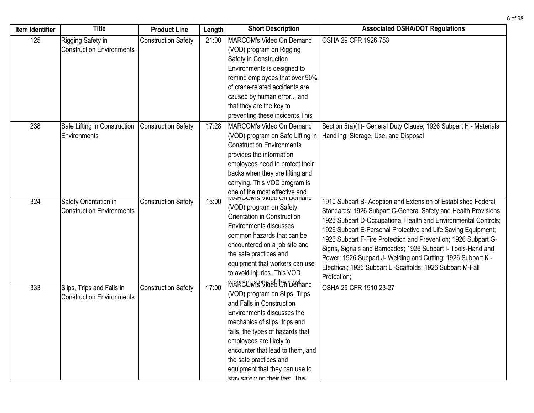| Item Identifier | <b>Title</b>                                                       | <b>Product Line</b>        | Length | <b>Short Description</b>                                                                                                                                                                                                                                                                                                                                | <b>Associated OSHA/DOT Regulations</b>                                                                                                                                                                                                                                                                                                                                                                                                                                                                                                              |
|-----------------|--------------------------------------------------------------------|----------------------------|--------|---------------------------------------------------------------------------------------------------------------------------------------------------------------------------------------------------------------------------------------------------------------------------------------------------------------------------------------------------------|-----------------------------------------------------------------------------------------------------------------------------------------------------------------------------------------------------------------------------------------------------------------------------------------------------------------------------------------------------------------------------------------------------------------------------------------------------------------------------------------------------------------------------------------------------|
| 125             | Rigging Safety in<br><b>Construction Environments</b>              | <b>Construction Safety</b> | 21:00  | MARCOM's Video On Demand<br>(VOD) program on Rigging<br>Safety in Construction<br>Environments is designed to<br>remind employees that over 90%<br>of crane-related accidents are<br>caused by human error and<br>that they are the key to<br>preventing these incidents. This                                                                          | OSHA 29 CFR 1926.753                                                                                                                                                                                                                                                                                                                                                                                                                                                                                                                                |
| 238             | Safe Lifting in Construction   Construction Safety<br>Environments |                            | 17:28  | <b>MARCOM's Video On Demand</b><br>(VOD) program on Safe Lifting in<br><b>Construction Environments</b><br>provides the information<br>employees need to protect their<br>backs when they are lifting and<br>carrying. This VOD program is<br>one of the most effective and                                                                             | Section 5(a)(1)- General Duty Clause; 1926 Subpart H - Materials<br>Handling, Storage, Use, and Disposal                                                                                                                                                                                                                                                                                                                                                                                                                                            |
| 324             | Safety Orientation in<br><b>Construction Environments</b>          | <b>Construction Safety</b> | 15:00  | <b>MARCOM'S VIDEO ON DEMAND</b><br>(VOD) program on Safety<br>Orientation in Construction<br><b>Environments discusses</b><br>common hazards that can be<br>encountered on a job site and<br>the safe practices and<br>equipment that workers can use<br>to avoid injuries. This VOD                                                                    | 1910 Subpart B- Adoption and Extension of Established Federal<br>Standards; 1926 Subpart C-General Safety and Health Provisions;<br>1926 Subpart D-Occupational Health and Environmental Controls;<br>1926 Subpart E-Personal Protective and Life Saving Equipment;<br>1926 Subpart F-Fire Protection and Prevention; 1926 Subpart G-<br>Signs, Signals and Barricades; 1926 Subpart I- Tools-Hand and<br>Power; 1926 Subpart J- Welding and Cutting; 1926 Subpart K -<br>Electrical; 1926 Subpart L -Scaffolds; 1926 Subpart M-Fall<br>Protection; |
| 333             | Slips, Trips and Falls in<br><b>Construction Environments</b>      | <b>Construction Safety</b> | 17:00  | MARCONTs Video ton Demand<br>(VOD) program on Slips, Trips<br>and Falls in Construction<br>Environments discusses the<br>mechanics of slips, trips and<br>falls, the types of hazards that<br>employees are likely to<br>encounter that lead to them, and<br>the safe practices and<br>equipment that they can use to<br>stay safely on their feet This | OSHA 29 CFR 1910.23-27                                                                                                                                                                                                                                                                                                                                                                                                                                                                                                                              |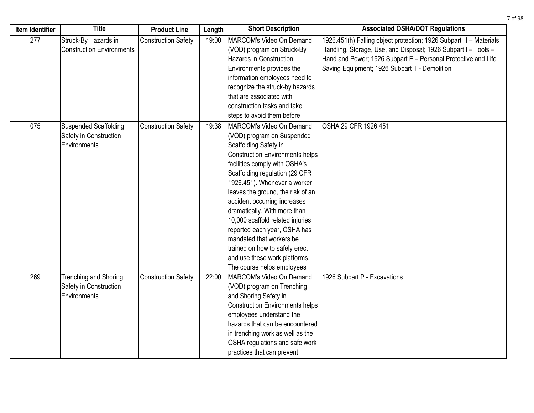| Item Identifier | <b>Title</b>                                                           | <b>Product Line</b>        | Length | <b>Short Description</b>                                                                                                                                                                                                                                                                                                                                                                                                                                                                                                           | <b>Associated OSHA/DOT Regulations</b>                                                                                                                                                                                                                |
|-----------------|------------------------------------------------------------------------|----------------------------|--------|------------------------------------------------------------------------------------------------------------------------------------------------------------------------------------------------------------------------------------------------------------------------------------------------------------------------------------------------------------------------------------------------------------------------------------------------------------------------------------------------------------------------------------|-------------------------------------------------------------------------------------------------------------------------------------------------------------------------------------------------------------------------------------------------------|
| 277             | Struck-By Hazards in<br><b>Construction Environments</b>               | <b>Construction Safety</b> | 19:00  | MARCOM's Video On Demand<br>(VOD) program on Struck-By<br><b>Hazards in Construction</b><br>Environments provides the<br>information employees need to<br>recognize the struck-by hazards<br>that are associated with<br>construction tasks and take<br>steps to avoid them before                                                                                                                                                                                                                                                 | 1926.451(h) Falling object protection; 1926 Subpart H - Materials<br>Handling, Storage, Use, and Disposal; 1926 Subpart I - Tools -<br>Hand and Power; 1926 Subpart E - Personal Protective and Life<br>Saving Equipment; 1926 Subpart T - Demolition |
| 075             | <b>Suspended Scaffolding</b><br>Safety in Construction<br>Environments | <b>Construction Safety</b> | 19:38  | MARCOM's Video On Demand<br>(VOD) program on Suspended<br>Scaffolding Safety in<br><b>Construction Environments helps</b><br>facilities comply with OSHA's<br>Scaffolding regulation (29 CFR<br>1926.451). Whenever a worker<br>leaves the ground, the risk of an<br>accident occurring increases<br>dramatically. With more than<br>10,000 scaffold related injuries<br>reported each year, OSHA has<br>mandated that workers be<br>trained on how to safely erect<br>and use these work platforms.<br>The course helps employees | OSHA 29 CFR 1926.451                                                                                                                                                                                                                                  |
| 269             | Trenching and Shoring<br>Safety in Construction<br>Environments        | <b>Construction Safety</b> | 22:00  | MARCOM's Video On Demand<br>(VOD) program on Trenching<br>and Shoring Safety in<br><b>Construction Environments helps</b><br>employees understand the<br>hazards that can be encountered<br>in trenching work as well as the<br>OSHA regulations and safe work<br>practices that can prevent                                                                                                                                                                                                                                       | 1926 Subpart P - Excavations                                                                                                                                                                                                                          |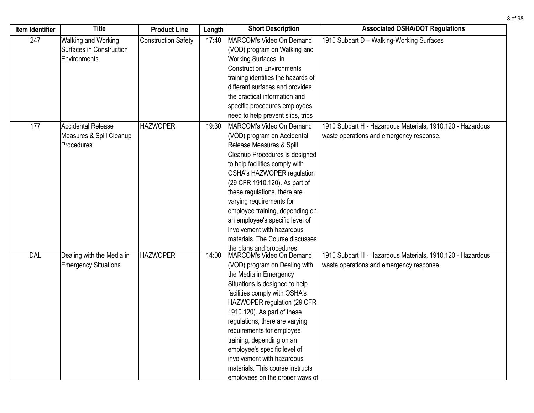| Item Identifier | <b>Title</b>                                    | <b>Product Line</b>        | Length | <b>Short Description</b>                                 | <b>Associated OSHA/DOT Regulations</b>                     |
|-----------------|-------------------------------------------------|----------------------------|--------|----------------------------------------------------------|------------------------------------------------------------|
| 247             | Walking and Working<br>Surfaces in Construction | <b>Construction Safety</b> | 17:40  | MARCOM's Video On Demand<br>(VOD) program on Walking and | 1910 Subpart D - Walking-Working Surfaces                  |
|                 | Environments                                    |                            |        | Working Surfaces in                                      |                                                            |
|                 |                                                 |                            |        | <b>Construction Environments</b>                         |                                                            |
|                 |                                                 |                            |        | training identifies the hazards of                       |                                                            |
|                 |                                                 |                            |        | different surfaces and provides                          |                                                            |
|                 |                                                 |                            |        | the practical information and                            |                                                            |
|                 |                                                 |                            |        | specific procedures employees                            |                                                            |
|                 |                                                 |                            |        | need to help prevent slips, trips                        |                                                            |
| 177             | <b>Accidental Release</b>                       | <b>HAZWOPER</b>            | 19:30  | MARCOM's Video On Demand                                 | 1910 Subpart H - Hazardous Materials, 1910.120 - Hazardous |
|                 | Measures & Spill Cleanup                        |                            |        | (VOD) program on Accidental                              | waste operations and emergency response.                   |
|                 | <b>Procedures</b>                               |                            |        | Release Measures & Spill                                 |                                                            |
|                 |                                                 |                            |        | Cleanup Procedures is designed                           |                                                            |
|                 |                                                 |                            |        | to help facilities comply with                           |                                                            |
|                 |                                                 |                            |        | <b>OSHA's HAZWOPER regulation</b>                        |                                                            |
|                 |                                                 |                            |        | (29 CFR 1910.120). As part of                            |                                                            |
|                 |                                                 |                            |        | these regulations, there are                             |                                                            |
|                 |                                                 |                            |        | varying requirements for                                 |                                                            |
|                 |                                                 |                            |        | employee training, depending on                          |                                                            |
|                 |                                                 |                            |        | an employee's specific level of                          |                                                            |
|                 |                                                 |                            |        | involvement with hazardous                               |                                                            |
|                 |                                                 |                            |        | materials. The Course discusses                          |                                                            |
| <b>DAL</b>      | Dealing with the Media in                       | <b>HAZWOPER</b>            | 14:00  | the plans and procedures<br>MARCOM's Video On Demand     | 1910 Subpart H - Hazardous Materials, 1910.120 - Hazardous |
|                 | <b>Emergency Situations</b>                     |                            |        | (VOD) program on Dealing with                            | waste operations and emergency response.                   |
|                 |                                                 |                            |        | the Media in Emergency                                   |                                                            |
|                 |                                                 |                            |        | Situations is designed to help                           |                                                            |
|                 |                                                 |                            |        | facilities comply with OSHA's                            |                                                            |
|                 |                                                 |                            |        | HAZWOPER regulation (29 CFR                              |                                                            |
|                 |                                                 |                            |        | 1910.120). As part of these                              |                                                            |
|                 |                                                 |                            |        | regulations, there are varying                           |                                                            |
|                 |                                                 |                            |        | requirements for employee                                |                                                            |
|                 |                                                 |                            |        | training, depending on an                                |                                                            |
|                 |                                                 |                            |        | employee's specific level of                             |                                                            |
|                 |                                                 |                            |        | involvement with hazardous                               |                                                            |
|                 |                                                 |                            |        | materials. This course instructs                         |                                                            |
|                 |                                                 |                            |        | employees on the proper ways of                          |                                                            |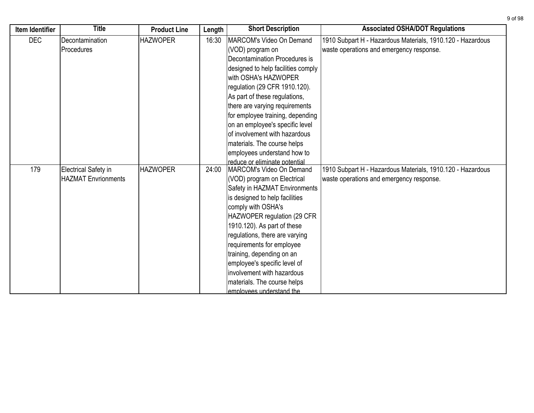| Item Identifier | <b>Title</b>               | <b>Product Line</b> | Length | <b>Short Description</b>           | <b>Associated OSHA/DOT Regulations</b>                     |
|-----------------|----------------------------|---------------------|--------|------------------------------------|------------------------------------------------------------|
| <b>DEC</b>      | Decontamination            | <b>HAZWOPER</b>     | 16:30  | MARCOM's Video On Demand           | 1910 Subpart H - Hazardous Materials, 1910.120 - Hazardous |
|                 | Procedures                 |                     |        | (VOD) program on                   | waste operations and emergency response.                   |
|                 |                            |                     |        | Decontamination Procedures is      |                                                            |
|                 |                            |                     |        | designed to help facilities comply |                                                            |
|                 |                            |                     |        | with OSHA's HAZWOPER               |                                                            |
|                 |                            |                     |        | regulation (29 CFR 1910.120).      |                                                            |
|                 |                            |                     |        | As part of these regulations,      |                                                            |
|                 |                            |                     |        | there are varying requirements     |                                                            |
|                 |                            |                     |        | for employee training, depending   |                                                            |
|                 |                            |                     |        | on an employee's specific level    |                                                            |
|                 |                            |                     |        | of involvement with hazardous      |                                                            |
|                 |                            |                     |        | materials. The course helps        |                                                            |
|                 |                            |                     |        | employees understand how to        |                                                            |
|                 |                            |                     |        | reduce or eliminate potential      |                                                            |
| 179             | Electrical Safety in       | <b>HAZWOPER</b>     | 24:00  | MARCOM's Video On Demand           | 1910 Subpart H - Hazardous Materials, 1910.120 - Hazardous |
|                 | <b>HAZMAT Envrionments</b> |                     |        | (VOD) program on Electrical        | waste operations and emergency response.                   |
|                 |                            |                     |        | Safety in HAZMAT Environments      |                                                            |
|                 |                            |                     |        | is designed to help facilities     |                                                            |
|                 |                            |                     |        | comply with OSHA's                 |                                                            |
|                 |                            |                     |        | HAZWOPER regulation (29 CFR        |                                                            |
|                 |                            |                     |        | 1910.120). As part of these        |                                                            |
|                 |                            |                     |        | regulations, there are varying     |                                                            |
|                 |                            |                     |        | requirements for employee          |                                                            |
|                 |                            |                     |        | training, depending on an          |                                                            |
|                 |                            |                     |        | employee's specific level of       |                                                            |
|                 |                            |                     |        | involvement with hazardous         |                                                            |
|                 |                            |                     |        | materials. The course helps        |                                                            |
|                 |                            |                     |        | employees understand the           |                                                            |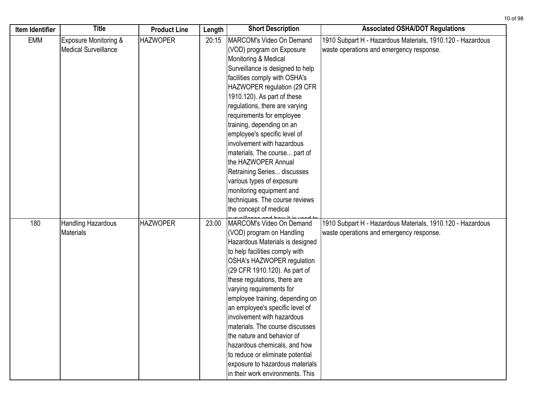| Item Identifier | <b>Title</b>                                         | <b>Product Line</b> | Length | <b>Short Description</b>                                                                                                                                                                                                                                                                                                                                                                                                                                                                                                                                                                                                            | <b>Associated OSHA/DOT Regulations</b>                                                                 |
|-----------------|------------------------------------------------------|---------------------|--------|-------------------------------------------------------------------------------------------------------------------------------------------------------------------------------------------------------------------------------------------------------------------------------------------------------------------------------------------------------------------------------------------------------------------------------------------------------------------------------------------------------------------------------------------------------------------------------------------------------------------------------------|--------------------------------------------------------------------------------------------------------|
| <b>EMM</b>      | Exposure Monitoring &<br><b>Medical Surveillance</b> | <b>HAZWOPER</b>     | 20:15  | <b>MARCOM's Video On Demand</b><br>(VOD) program on Exposure<br>Monitoring & Medical<br>Surveillance is designed to help<br>facilities comply with OSHA's<br>HAZWOPER regulation (29 CFR<br>1910.120). As part of these<br>regulations, there are varying<br>requirements for employee<br>training, depending on an<br>employee's specific level of<br>involvement with hazardous<br>materials. The course part of<br>the HAZWOPER Annual<br>Retraining Series discusses<br>various types of exposure<br>monitoring equipment and<br>techniques. The course reviews<br>the concept of medical<br>auruaillanaa and bourit is usad to | 1910 Subpart H - Hazardous Materials, 1910.120 - Hazardous<br>waste operations and emergency response. |
| 180             | Handling Hazardous<br><b>Materials</b>               | <b>HAZWOPER</b>     | 23:00  | <b>MARCOM's Video On Demand</b><br>(VOD) program on Handling<br>Hazardous Materials is designed<br>to help facilities comply with<br>OSHA's HAZWOPER regulation<br>(29 CFR 1910.120). As part of<br>these regulations, there are<br>varying requirements for<br>employee training, depending on<br>an employee's specific level of<br>involvement with hazardous<br>materials. The course discusses<br>the nature and behavior of<br>hazardous chemicals, and how<br>to reduce or eliminate potential<br>exposure to hazardous materials<br>in their work environments. This                                                        | 1910 Subpart H - Hazardous Materials, 1910.120 - Hazardous<br>waste operations and emergency response. |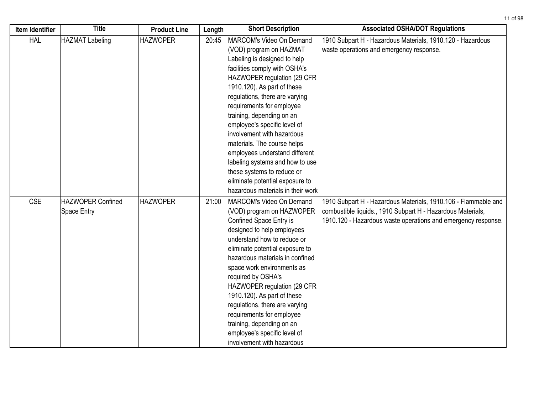| Item Identifier | <b>Title</b>                            | <b>Product Line</b> | Length | <b>Short Description</b>                                                                                                                                                                                                                                                                                                                                                                                                                                                                                                                               | <b>Associated OSHA/DOT Regulations</b>                                                                                                                                                         |
|-----------------|-----------------------------------------|---------------------|--------|--------------------------------------------------------------------------------------------------------------------------------------------------------------------------------------------------------------------------------------------------------------------------------------------------------------------------------------------------------------------------------------------------------------------------------------------------------------------------------------------------------------------------------------------------------|------------------------------------------------------------------------------------------------------------------------------------------------------------------------------------------------|
| <b>HAL</b>      | <b>HAZMAT Labeling</b>                  | <b>HAZWOPER</b>     | 20:45  | MARCOM's Video On Demand<br>(VOD) program on HAZMAT<br>Labeling is designed to help<br>facilities comply with OSHA's<br>HAZWOPER regulation (29 CFR<br>1910.120). As part of these<br>regulations, there are varying<br>requirements for employee<br>training, depending on an<br>employee's specific level of<br>involvement with hazardous<br>materials. The course helps<br>employees understand different<br>labeling systems and how to use<br>these systems to reduce or<br>eliminate potential exposure to<br>hazardous materials in their work | 1910 Subpart H - Hazardous Materials, 1910.120 - Hazardous<br>waste operations and emergency response.                                                                                         |
| <b>CSE</b>      | <b>HAZWOPER Confined</b><br>Space Entry | <b>HAZWOPER</b>     | 21:00  | MARCOM's Video On Demand<br>(VOD) program on HAZWOPER<br>Confined Space Entry is<br>designed to help employees<br>understand how to reduce or<br>eliminate potential exposure to<br>hazardous materials in confined<br>space work environments as<br>required by OSHA's<br>HAZWOPER regulation (29 CFR<br>1910.120). As part of these<br>regulations, there are varying<br>requirements for employee<br>training, depending on an<br>employee's specific level of<br>involvement with hazardous                                                        | 1910 Subpart H - Hazardous Materials, 1910.106 - Flammable and<br>combustible liquids., 1910 Subpart H - Hazardous Materials,<br>1910.120 - Hazardous waste operations and emergency response. |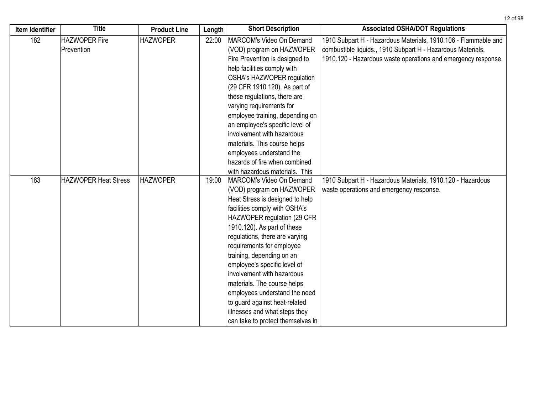| Item Identifier | <b>Title</b>                | <b>Product Line</b> | Length | <b>Short Description</b>          | <b>Associated OSHA/DOT Regulations</b>                         |
|-----------------|-----------------------------|---------------------|--------|-----------------------------------|----------------------------------------------------------------|
| 182             | <b>HAZWOPER Fire</b>        | <b>HAZWOPER</b>     | 22:00  | MARCOM's Video On Demand          | 1910 Subpart H - Hazardous Materials, 1910.106 - Flammable and |
|                 | Prevention                  |                     |        | (VOD) program on HAZWOPER         | combustible liquids., 1910 Subpart H - Hazardous Materials,    |
|                 |                             |                     |        | Fire Prevention is designed to    | 1910.120 - Hazardous waste operations and emergency response.  |
|                 |                             |                     |        | help facilities comply with       |                                                                |
|                 |                             |                     |        | OSHA's HAZWOPER regulation        |                                                                |
|                 |                             |                     |        | (29 CFR 1910.120). As part of     |                                                                |
|                 |                             |                     |        | these regulations, there are      |                                                                |
|                 |                             |                     |        | varying requirements for          |                                                                |
|                 |                             |                     |        | employee training, depending on   |                                                                |
|                 |                             |                     |        | an employee's specific level of   |                                                                |
|                 |                             |                     |        | involvement with hazardous        |                                                                |
|                 |                             |                     |        | materials. This course helps      |                                                                |
|                 |                             |                     |        | employees understand the          |                                                                |
|                 |                             |                     |        | hazards of fire when combined     |                                                                |
|                 |                             |                     |        | with hazardous materials. This    |                                                                |
| 183             | <b>HAZWOPER Heat Stress</b> | <b>HAZWOPER</b>     | 19:00  | MARCOM's Video On Demand          | 1910 Subpart H - Hazardous Materials, 1910.120 - Hazardous     |
|                 |                             |                     |        | (VOD) program on HAZWOPER         | waste operations and emergency response.                       |
|                 |                             |                     |        | Heat Stress is designed to help   |                                                                |
|                 |                             |                     |        | facilities comply with OSHA's     |                                                                |
|                 |                             |                     |        | HAZWOPER regulation (29 CFR       |                                                                |
|                 |                             |                     |        | 1910.120). As part of these       |                                                                |
|                 |                             |                     |        | regulations, there are varying    |                                                                |
|                 |                             |                     |        | requirements for employee         |                                                                |
|                 |                             |                     |        | training, depending on an         |                                                                |
|                 |                             |                     |        | employee's specific level of      |                                                                |
|                 |                             |                     |        | involvement with hazardous        |                                                                |
|                 |                             |                     |        | materials. The course helps       |                                                                |
|                 |                             |                     |        | employees understand the need     |                                                                |
|                 |                             |                     |        | to guard against heat-related     |                                                                |
|                 |                             |                     |        | illnesses and what steps they     |                                                                |
|                 |                             |                     |        | can take to protect themselves in |                                                                |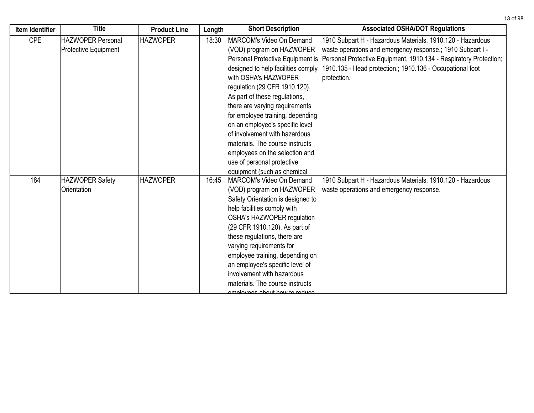| Item Identifier | <b>Title</b>                | <b>Product Line</b> | Length | <b>Short Description</b>                                      | <b>Associated OSHA/DOT Regulations</b>                                                               |
|-----------------|-----------------------------|---------------------|--------|---------------------------------------------------------------|------------------------------------------------------------------------------------------------------|
| <b>CPE</b>      | <b>HAZWOPER Personal</b>    | <b>HAZWOPER</b>     | 18:30  | MARCOM's Video On Demand                                      | 1910 Subpart H - Hazardous Materials, 1910.120 - Hazardous                                           |
|                 | <b>Protective Equipment</b> |                     |        | (VOD) program on HAZWOPER                                     | waste operations and emergency response.; 1910 Subpart I -                                           |
|                 |                             |                     |        |                                                               | Personal Protective Equipment is   Personal Protective Equipment, 1910.134 - Respiratory Protection; |
|                 |                             |                     |        | designed to help facilities comply                            | 1910.135 - Head protection.; 1910.136 - Occupational foot                                            |
|                 |                             |                     |        | with OSHA's HAZWOPER                                          | protection.                                                                                          |
|                 |                             |                     |        | regulation (29 CFR 1910.120).                                 |                                                                                                      |
|                 |                             |                     |        | As part of these regulations,                                 |                                                                                                      |
|                 |                             |                     |        | there are varying requirements                                |                                                                                                      |
|                 |                             |                     |        | for employee training, depending                              |                                                                                                      |
|                 |                             |                     |        | on an employee's specific level                               |                                                                                                      |
|                 |                             |                     |        | of involvement with hazardous                                 |                                                                                                      |
|                 |                             |                     |        | materials. The course instructs                               |                                                                                                      |
|                 |                             |                     |        | employees on the selection and                                |                                                                                                      |
|                 |                             |                     |        | use of personal protective                                    |                                                                                                      |
|                 |                             |                     |        | equipment (such as chemical                                   |                                                                                                      |
| 184             | <b>HAZWOPER Safety</b>      | <b>HAZWOPER</b>     | 16:45  | MARCOM's Video On Demand                                      | 1910 Subpart H - Hazardous Materials, 1910.120 - Hazardous                                           |
|                 | Orientation                 |                     |        | (VOD) program on HAZWOPER                                     | waste operations and emergency response.                                                             |
|                 |                             |                     |        | Safety Orientation is designed to                             |                                                                                                      |
|                 |                             |                     |        | help facilities comply with                                   |                                                                                                      |
|                 |                             |                     |        | <b>OSHA's HAZWOPER regulation</b>                             |                                                                                                      |
|                 |                             |                     |        | (29 CFR 1910.120). As part of                                 |                                                                                                      |
|                 |                             |                     |        | these regulations, there are                                  |                                                                                                      |
|                 |                             |                     |        | varying requirements for                                      |                                                                                                      |
|                 |                             |                     |        | employee training, depending on                               |                                                                                                      |
|                 |                             |                     |        | an employee's specific level of<br>involvement with hazardous |                                                                                                      |
|                 |                             |                     |        | materials. The course instructs                               |                                                                                                      |
|                 |                             |                     |        | amployees about how to reduce                                 |                                                                                                      |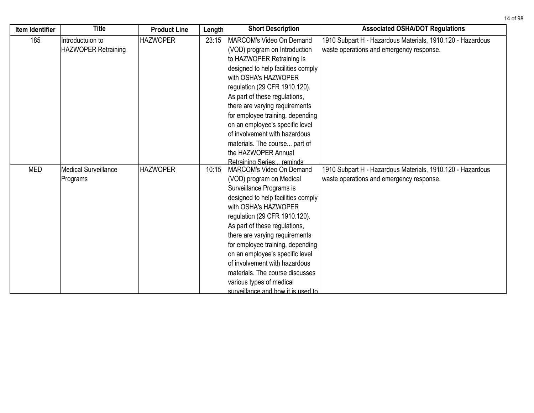| Item Identifier | <b>Title</b>                | <b>Product Line</b> | Length | <b>Short Description</b>           | <b>Associated OSHA/DOT Regulations</b>                     |
|-----------------|-----------------------------|---------------------|--------|------------------------------------|------------------------------------------------------------|
| 185             | Introductuion to            | <b>HAZWOPER</b>     | 23:15  | MARCOM's Video On Demand           | 1910 Subpart H - Hazardous Materials, 1910.120 - Hazardous |
|                 | <b>HAZWOPER Retraining</b>  |                     |        | (VOD) program on Introduction      | waste operations and emergency response.                   |
|                 |                             |                     |        | to HAZWOPER Retraining is          |                                                            |
|                 |                             |                     |        | designed to help facilities comply |                                                            |
|                 |                             |                     |        | with OSHA's HAZWOPER               |                                                            |
|                 |                             |                     |        | regulation (29 CFR 1910.120).      |                                                            |
|                 |                             |                     |        | As part of these regulations,      |                                                            |
|                 |                             |                     |        | there are varying requirements     |                                                            |
|                 |                             |                     |        | for employee training, depending   |                                                            |
|                 |                             |                     |        | on an employee's specific level    |                                                            |
|                 |                             |                     |        | of involvement with hazardous      |                                                            |
|                 |                             |                     |        | materials. The course part of      |                                                            |
|                 |                             |                     |        | the HAZWOPER Annual                |                                                            |
|                 |                             |                     |        | Retraining Series reminds          |                                                            |
| <b>MED</b>      | <b>Medical Surveillance</b> | <b>HAZWOPER</b>     | 10:15  | <b>MARCOM's Video On Demand</b>    | 1910 Subpart H - Hazardous Materials, 1910.120 - Hazardous |
|                 | Programs                    |                     |        | (VOD) program on Medical           | waste operations and emergency response.                   |
|                 |                             |                     |        | Surveillance Programs is           |                                                            |
|                 |                             |                     |        | designed to help facilities comply |                                                            |
|                 |                             |                     |        | with OSHA's HAZWOPER               |                                                            |
|                 |                             |                     |        | regulation (29 CFR 1910.120).      |                                                            |
|                 |                             |                     |        | As part of these regulations,      |                                                            |
|                 |                             |                     |        | there are varying requirements     |                                                            |
|                 |                             |                     |        | for employee training, depending   |                                                            |
|                 |                             |                     |        | on an employee's specific level    |                                                            |
|                 |                             |                     |        | of involvement with hazardous      |                                                            |
|                 |                             |                     |        | materials. The course discusses    |                                                            |
|                 |                             |                     |        | various types of medical           |                                                            |
|                 |                             |                     |        | surveillance and how it is used to |                                                            |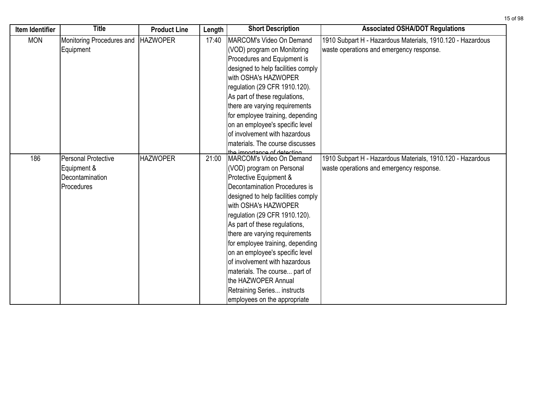| Item Identifier | <b>Title</b>                   | <b>Product Line</b> | Length | <b>Short Description</b>                                | <b>Associated OSHA/DOT Regulations</b>                     |
|-----------------|--------------------------------|---------------------|--------|---------------------------------------------------------|------------------------------------------------------------|
| <b>MON</b>      | Monitoring Procedures and      | <b>HAZWOPER</b>     | 17:40  | MARCOM's Video On Demand                                | 1910 Subpart H - Hazardous Materials, 1910.120 - Hazardous |
|                 | Equipment                      |                     |        | (VOD) program on Monitoring                             | waste operations and emergency response.                   |
|                 |                                |                     |        | Procedures and Equipment is                             |                                                            |
|                 |                                |                     |        | designed to help facilities comply                      |                                                            |
|                 |                                |                     |        | with OSHA's HAZWOPER                                    |                                                            |
|                 |                                |                     |        | regulation (29 CFR 1910.120).                           |                                                            |
|                 |                                |                     |        | As part of these regulations,                           |                                                            |
|                 |                                |                     |        | there are varying requirements                          |                                                            |
|                 |                                |                     |        | for employee training, depending                        |                                                            |
|                 |                                |                     |        | on an employee's specific level                         |                                                            |
|                 |                                |                     |        | of involvement with hazardous                           |                                                            |
|                 |                                |                     |        | materials. The course discusses                         |                                                            |
| 186             | Personal Protective            | <b>HAZWOPER</b>     | 21:00  | the imnortance of detecting<br>MARCOM's Video On Demand | 1910 Subpart H - Hazardous Materials, 1910.120 - Hazardous |
|                 |                                |                     |        | (VOD) program on Personal                               | waste operations and emergency response.                   |
|                 | Equipment &<br>Decontamination |                     |        | Protective Equipment &                                  |                                                            |
|                 | Procedures                     |                     |        | Decontamination Procedures is                           |                                                            |
|                 |                                |                     |        | designed to help facilities comply                      |                                                            |
|                 |                                |                     |        | with OSHA's HAZWOPER                                    |                                                            |
|                 |                                |                     |        | regulation (29 CFR 1910.120).                           |                                                            |
|                 |                                |                     |        | As part of these regulations,                           |                                                            |
|                 |                                |                     |        | there are varying requirements                          |                                                            |
|                 |                                |                     |        | for employee training, depending                        |                                                            |
|                 |                                |                     |        | on an employee's specific level                         |                                                            |
|                 |                                |                     |        | of involvement with hazardous                           |                                                            |
|                 |                                |                     |        | materials. The course part of                           |                                                            |
|                 |                                |                     |        | the HAZWOPER Annual                                     |                                                            |
|                 |                                |                     |        | Retraining Series instructs                             |                                                            |
|                 |                                |                     |        | employees on the appropriate                            |                                                            |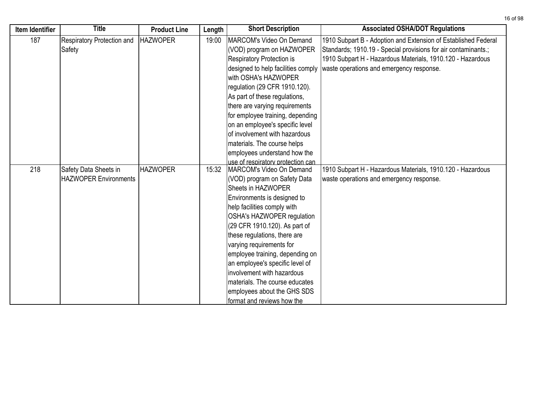| Item Identifier | <b>Title</b>                 | <b>Product Line</b> | Length | <b>Short Description</b>                                             | <b>Associated OSHA/DOT Regulations</b>                         |
|-----------------|------------------------------|---------------------|--------|----------------------------------------------------------------------|----------------------------------------------------------------|
| 187             | Respiratory Protection and   | <b>HAZWOPER</b>     | 19:00  | MARCOM's Video On Demand                                             | 1910 Subpart B - Adoption and Extension of Established Federal |
|                 | Safety                       |                     |        | (VOD) program on HAZWOPER                                            | Standards; 1910.19 - Special provisions for air contaminants.; |
|                 |                              |                     |        | <b>Respiratory Protection is</b>                                     | 1910 Subpart H - Hazardous Materials, 1910.120 - Hazardous     |
|                 |                              |                     |        | designed to help facilities comply                                   | waste operations and emergency response.                       |
|                 |                              |                     |        | with OSHA's HAZWOPER                                                 |                                                                |
|                 |                              |                     |        | regulation (29 CFR 1910.120).                                        |                                                                |
|                 |                              |                     |        | As part of these regulations,                                        |                                                                |
|                 |                              |                     |        | there are varying requirements                                       |                                                                |
|                 |                              |                     |        | for employee training, depending                                     |                                                                |
|                 |                              |                     |        | on an employee's specific level                                      |                                                                |
|                 |                              |                     |        | of involvement with hazardous                                        |                                                                |
|                 |                              |                     |        | materials. The course helps                                          |                                                                |
|                 |                              |                     |        | employees understand how the                                         |                                                                |
| 218             | Safety Data Sheets in        | <b>HAZWOPER</b>     | 15:32  | use of respiratory protection can<br><b>MARCOM's Video On Demand</b> | 1910 Subpart H - Hazardous Materials, 1910.120 - Hazardous     |
|                 | <b>HAZWOPER Environments</b> |                     |        | (VOD) program on Safety Data                                         | waste operations and emergency response.                       |
|                 |                              |                     |        | Sheets in HAZWOPER                                                   |                                                                |
|                 |                              |                     |        | Environments is designed to                                          |                                                                |
|                 |                              |                     |        | help facilities comply with                                          |                                                                |
|                 |                              |                     |        | OSHA's HAZWOPER regulation                                           |                                                                |
|                 |                              |                     |        | (29 CFR 1910.120). As part of                                        |                                                                |
|                 |                              |                     |        | these regulations, there are                                         |                                                                |
|                 |                              |                     |        | varying requirements for                                             |                                                                |
|                 |                              |                     |        | employee training, depending on                                      |                                                                |
|                 |                              |                     |        | an employee's specific level of                                      |                                                                |
|                 |                              |                     |        | involvement with hazardous                                           |                                                                |
|                 |                              |                     |        | materials. The course educates                                       |                                                                |
|                 |                              |                     |        | employees about the GHS SDS                                          |                                                                |
|                 |                              |                     |        | format and reviews how the                                           |                                                                |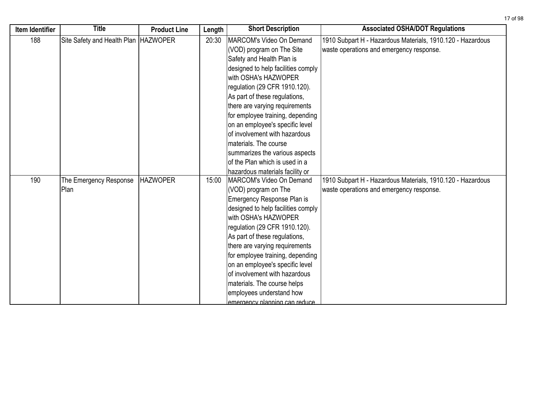| Item Identifier | <b>Title</b>                           | <b>Product Line</b> | Length | <b>Short Description</b>                                   | <b>Associated OSHA/DOT Regulations</b>                     |
|-----------------|----------------------------------------|---------------------|--------|------------------------------------------------------------|------------------------------------------------------------|
| 188             | Site Safety and Health Plan   HAZWOPER |                     | 20:30  | MARCOM's Video On Demand                                   | 1910 Subpart H - Hazardous Materials, 1910.120 - Hazardous |
|                 |                                        |                     |        | (VOD) program on The Site                                  | waste operations and emergency response.                   |
|                 |                                        |                     |        | Safety and Health Plan is                                  |                                                            |
|                 |                                        |                     |        | designed to help facilities comply                         |                                                            |
|                 |                                        |                     |        | with OSHA's HAZWOPER                                       |                                                            |
|                 |                                        |                     |        | regulation (29 CFR 1910.120).                              |                                                            |
|                 |                                        |                     |        | As part of these regulations,                              |                                                            |
|                 |                                        |                     |        | there are varying requirements                             |                                                            |
|                 |                                        |                     |        | for employee training, depending                           |                                                            |
|                 |                                        |                     |        | on an employee's specific level                            |                                                            |
|                 |                                        |                     |        | of involvement with hazardous                              |                                                            |
|                 |                                        |                     |        | materials. The course                                      |                                                            |
|                 |                                        |                     |        | summarizes the various aspects                             |                                                            |
|                 |                                        |                     |        | of the Plan which is used in a                             |                                                            |
|                 |                                        |                     |        | hazardous materials facility or                            |                                                            |
| 190             | The Emergency Response                 | <b>HAZWOPER</b>     | 15:00  | MARCOM's Video On Demand                                   | 1910 Subpart H - Hazardous Materials, 1910.120 - Hazardous |
|                 | Plan                                   |                     |        | (VOD) program on The                                       | waste operations and emergency response.                   |
|                 |                                        |                     |        | <b>Emergency Response Plan is</b>                          |                                                            |
|                 |                                        |                     |        | designed to help facilities comply<br>with OSHA's HAZWOPER |                                                            |
|                 |                                        |                     |        | regulation (29 CFR 1910.120).                              |                                                            |
|                 |                                        |                     |        | As part of these regulations,                              |                                                            |
|                 |                                        |                     |        | there are varying requirements                             |                                                            |
|                 |                                        |                     |        | for employee training, depending                           |                                                            |
|                 |                                        |                     |        | on an employee's specific level                            |                                                            |
|                 |                                        |                     |        | of involvement with hazardous                              |                                                            |
|                 |                                        |                     |        | materials. The course helps                                |                                                            |
|                 |                                        |                     |        | employees understand how                                   |                                                            |
|                 |                                        |                     |        | emergency planning can reduce                              |                                                            |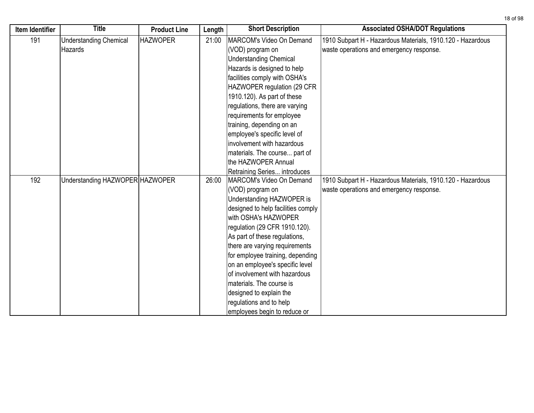| Item Identifier | <b>Title</b>                    | <b>Product Line</b> | Length | <b>Short Description</b>                                         | <b>Associated OSHA/DOT Regulations</b>                     |
|-----------------|---------------------------------|---------------------|--------|------------------------------------------------------------------|------------------------------------------------------------|
| 191             | <b>Understanding Chemical</b>   | <b>HAZWOPER</b>     | 21:00  | MARCOM's Video On Demand                                         | 1910 Subpart H - Hazardous Materials, 1910.120 - Hazardous |
|                 | Hazards                         |                     |        | (VOD) program on                                                 | waste operations and emergency response.                   |
|                 |                                 |                     |        | <b>Understanding Chemical</b>                                    |                                                            |
|                 |                                 |                     |        | Hazards is designed to help                                      |                                                            |
|                 |                                 |                     |        | facilities comply with OSHA's                                    |                                                            |
|                 |                                 |                     |        | HAZWOPER regulation (29 CFR                                      |                                                            |
|                 |                                 |                     |        | 1910.120). As part of these                                      |                                                            |
|                 |                                 |                     |        | regulations, there are varying                                   |                                                            |
|                 |                                 |                     |        | requirements for employee                                        |                                                            |
|                 |                                 |                     |        | training, depending on an                                        |                                                            |
|                 |                                 |                     |        | employee's specific level of                                     |                                                            |
|                 |                                 |                     |        | involvement with hazardous                                       |                                                            |
|                 |                                 |                     |        | materials. The course part of                                    |                                                            |
|                 |                                 |                     |        | the HAZWOPER Annual                                              |                                                            |
|                 |                                 |                     |        | Retraining Series introduces                                     |                                                            |
| 192             | Understanding HAZWOPER HAZWOPER |                     | 26:00  | MARCOM's Video On Demand                                         | 1910 Subpart H - Hazardous Materials, 1910.120 - Hazardous |
|                 |                                 |                     |        | (VOD) program on                                                 | waste operations and emergency response.                   |
|                 |                                 |                     |        | Understanding HAZWOPER is                                        |                                                            |
|                 |                                 |                     |        | designed to help facilities comply                               |                                                            |
|                 |                                 |                     |        | with OSHA's HAZWOPER                                             |                                                            |
|                 |                                 |                     |        | regulation (29 CFR 1910.120).                                    |                                                            |
|                 |                                 |                     |        | As part of these regulations,                                    |                                                            |
|                 |                                 |                     |        | there are varying requirements                                   |                                                            |
|                 |                                 |                     |        | for employee training, depending                                 |                                                            |
|                 |                                 |                     |        | on an employee's specific level<br>of involvement with hazardous |                                                            |
|                 |                                 |                     |        |                                                                  |                                                            |
|                 |                                 |                     |        | materials. The course is                                         |                                                            |
|                 |                                 |                     |        | designed to explain the<br>regulations and to help               |                                                            |
|                 |                                 |                     |        |                                                                  |                                                            |
|                 |                                 |                     |        | employees begin to reduce or                                     |                                                            |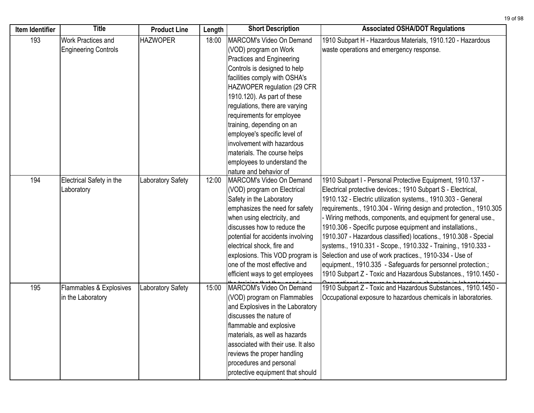| Item Identifier | <b>Title</b>                                      | <b>Product Line</b>      | Length | <b>Short Description</b>                                                                                                                                                                                                                                                                                                                                                                                                                                        | <b>Associated OSHA/DOT Regulations</b>                                                                                                                                                                                                                                                                                                                                                                                                                                                                                                                                                                                                                                                                                        |
|-----------------|---------------------------------------------------|--------------------------|--------|-----------------------------------------------------------------------------------------------------------------------------------------------------------------------------------------------------------------------------------------------------------------------------------------------------------------------------------------------------------------------------------------------------------------------------------------------------------------|-------------------------------------------------------------------------------------------------------------------------------------------------------------------------------------------------------------------------------------------------------------------------------------------------------------------------------------------------------------------------------------------------------------------------------------------------------------------------------------------------------------------------------------------------------------------------------------------------------------------------------------------------------------------------------------------------------------------------------|
| 193             | Work Practices and<br><b>Engineering Controls</b> | <b>HAZWOPER</b>          | 18:00  | MARCOM's Video On Demand<br>(VOD) program on Work<br>Practices and Engineering<br>Controls is designed to help<br>facilities comply with OSHA's<br>HAZWOPER regulation (29 CFR<br>1910.120). As part of these<br>regulations, there are varying<br>requirements for employee<br>training, depending on an<br>employee's specific level of<br>involvement with hazardous<br>materials. The course helps<br>employees to understand the<br>nature and behavior of | 1910 Subpart H - Hazardous Materials, 1910.120 - Hazardous<br>waste operations and emergency response.                                                                                                                                                                                                                                                                                                                                                                                                                                                                                                                                                                                                                        |
| 194             | Electrical Safety in the<br>Laboratory            | <b>Laboratory Safety</b> | 12:00  | MARCOM's Video On Demand<br>(VOD) program on Electrical<br>Safety in the Laboratory<br>emphasizes the need for safety<br>when using electricity, and<br>discusses how to reduce the<br>potential for accidents involving<br>electrical shock, fire and<br>explosions. This VOD program is<br>one of the most effective and<br>efficient ways to get employees                                                                                                   | 1910 Subpart I - Personal Protective Equipment, 1910.137 -<br>Electrical protective devices.; 1910 Subpart S - Electrical,<br>1910.132 - Electric utilization systems., 1910.303 - General<br>requirements., 1910.304 - Wiring design and protection., 1910.305<br>- Wiring methods, components, and equipment for general use.,<br>1910.306 - Specific purpose equipment and installations.,<br>1910.307 - Hazardous classified) locations., 1910.308 - Special<br>systems., 1910.331 - Scope., 1910.332 - Training., 1910.333 -<br>Selection and use of work practices., 1910-334 - Use of<br>equipment., 1910.335 - Safeguards for personnel protection.;<br>1910 Subpart Z - Toxic and Hazardous Substances., 1910.1450 - |
| 195             | Flammables & Explosives<br>in the Laboratory      | <b>Laboratory Safety</b> | 15:00  | MARCOM's Video On Demand<br>(VOD) program on Flammables<br>and Explosives in the Laboratory<br>discusses the nature of<br>flammable and explosive<br>materials, as well as hazards<br>associated with their use. It also<br>reviews the proper handling<br>procedures and personal<br>protective equipment that should                                                                                                                                          | 1910 Subpart Z - Toxic and Hazardous Substances., 1910.1450 -<br>Occupational exposure to hazardous chemicals in laboratories.                                                                                                                                                                                                                                                                                                                                                                                                                                                                                                                                                                                                |

b d h ki ith the distribution of the distribution of the distribution of the distribution of the distribution o<br>The distribution of the distribution of the distribution of the distribution of the distribution of the distri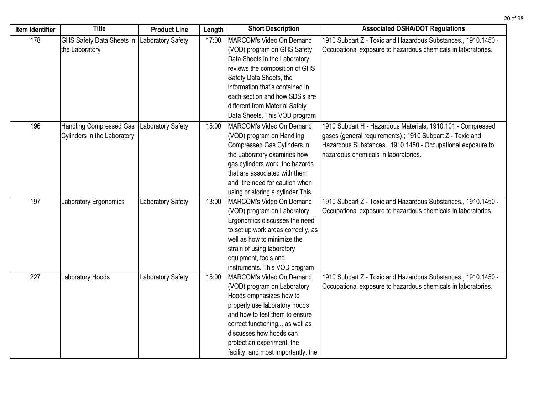| Item Identifier | <b>Title</b>                                                    | <b>Product Line</b>      | Length | <b>Short Description</b>                                                                                                                                                                                                                                                                      | <b>Associated OSHA/DOT Regulations</b>                                                                                                                                                                                          |
|-----------------|-----------------------------------------------------------------|--------------------------|--------|-----------------------------------------------------------------------------------------------------------------------------------------------------------------------------------------------------------------------------------------------------------------------------------------------|---------------------------------------------------------------------------------------------------------------------------------------------------------------------------------------------------------------------------------|
| 178             | GHS Safety Data Sheets in   Laboratory Safety<br>the Laboratory |                          | 17:00  | MARCOM's Video On Demand<br>(VOD) program on GHS Safety<br>Data Sheets in the Laboratory<br>reviews the composition of GHS<br>Safety Data Sheets, the<br>information that's contained in<br>each section and how SDS's are<br>different from Material Safety<br>Data Sheets. This VOD program | 1910 Subpart Z - Toxic and Hazardous Substances., 1910.1450 -<br>Occupational exposure to hazardous chemicals in laboratories.                                                                                                  |
| 196             | <b>Handling Compressed Gas</b><br>Cylinders in the Laboratory   | Laboratory Safety        | 15:00  | MARCOM's Video On Demand<br>(VOD) program on Handling<br>Compressed Gas Cylinders in<br>the Laboratory examines how<br>gas cylinders work, the hazards<br>that are associated with them<br>and the need for caution when<br>using or storing a cylinder. This                                 | 1910 Subpart H - Hazardous Materials, 1910.101 - Compressed<br>gases (general requirements).; 1910 Subpart Z - Toxic and<br>Hazardous Substances., 1910.1450 - Occupational exposure to<br>hazardous chemicals in laboratories. |
| 197             | Laboratory Ergonomics                                           | <b>Laboratory Safety</b> | 13:00  | MARCOM's Video On Demand<br>(VOD) program on Laboratory<br>Ergonomics discusses the need<br>to set up work areas correctly, as<br>well as how to minimize the<br>strain of using laboratory<br>equipment, tools and<br>instruments. This VOD program                                          | 1910 Subpart Z - Toxic and Hazardous Substances., 1910.1450 -<br>Occupational exposure to hazardous chemicals in laboratories.                                                                                                  |
| 227             | Laboratory Hoods                                                | Laboratory Safety        | 15:00  | MARCOM's Video On Demand<br>(VOD) program on Laboratory<br>Hoods emphasizes how to<br>properly use laboratory hoods<br>and how to test them to ensure<br>correct functioning as well as<br>discusses how hoods can<br>protect an experiment, the<br>facility, and most importantly, the       | 1910 Subpart Z - Toxic and Hazardous Substances., 1910.1450 -<br>Occupational exposure to hazardous chemicals in laboratories.                                                                                                  |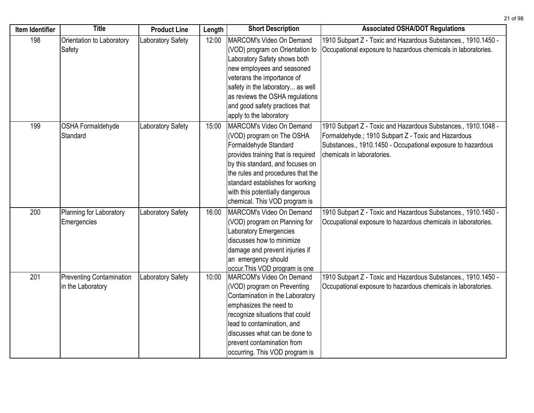| <b>Item Identifier</b> | <b>Title</b>                    | <b>Product Line</b>      | Length | <b>Short Description</b>           | <b>Associated OSHA/DOT Regulations</b>                        |
|------------------------|---------------------------------|--------------------------|--------|------------------------------------|---------------------------------------------------------------|
| 198                    | Orientation to Laboratory       | <b>Laboratory Safety</b> | 12:00  | MARCOM's Video On Demand           | 1910 Subpart Z - Toxic and Hazardous Substances., 1910.1450 - |
|                        | Safety                          |                          |        | (VOD) program on Orientation to    | Occupational exposure to hazardous chemicals in laboratories. |
|                        |                                 |                          |        | Laboratory Safety shows both       |                                                               |
|                        |                                 |                          |        | new employees and seasoned         |                                                               |
|                        |                                 |                          |        | veterans the importance of         |                                                               |
|                        |                                 |                          |        | safety in the laboratory as well   |                                                               |
|                        |                                 |                          |        | as reviews the OSHA regulations    |                                                               |
|                        |                                 |                          |        | and good safety practices that     |                                                               |
|                        |                                 |                          |        | apply to the laboratory            |                                                               |
| 199                    | OSHA Formaldehyde               | <b>Laboratory Safety</b> | 15:00  | MARCOM's Video On Demand           | 1910 Subpart Z - Toxic and Hazardous Substances., 1910.1048 - |
|                        | Standard                        |                          |        | (VOD) program on The OSHA          | Formaldehyde.; 1910 Subpart Z - Toxic and Hazardous           |
|                        |                                 |                          |        | Formaldehyde Standard              | Substances., 1910.1450 - Occupational exposure to hazardous   |
|                        |                                 |                          |        | provides training that is required | chemicals in laboratories.                                    |
|                        |                                 |                          |        | by this standard, and focuses on   |                                                               |
|                        |                                 |                          |        | the rules and procedures that the  |                                                               |
|                        |                                 |                          |        | standard establishes for working   |                                                               |
|                        |                                 |                          |        | with this potentially dangerous    |                                                               |
|                        |                                 |                          |        | chemical. This VOD program is      |                                                               |
| 200                    | Planning for Laboratory         | <b>Laboratory Safety</b> | 16:00  | MARCOM's Video On Demand           | 1910 Subpart Z - Toxic and Hazardous Substances., 1910.1450 - |
|                        | Emergencies                     |                          |        | (VOD) program on Planning for      | Occupational exposure to hazardous chemicals in laboratories. |
|                        |                                 |                          |        | <b>Laboratory Emergencies</b>      |                                                               |
|                        |                                 |                          |        | discusses how to minimize          |                                                               |
|                        |                                 |                          |        | damage and prevent injuries if     |                                                               |
|                        |                                 |                          |        | an emergency should                |                                                               |
|                        |                                 |                          |        | occur. This VOD program is one     |                                                               |
| 201                    | <b>Preventing Contamination</b> | <b>Laboratory Safety</b> | 10:00  | MARCOM's Video On Demand           | 1910 Subpart Z - Toxic and Hazardous Substances., 1910.1450 - |
|                        | in the Laboratory               |                          |        | (VOD) program on Preventing        | Occupational exposure to hazardous chemicals in laboratories. |
|                        |                                 |                          |        | Contamination in the Laboratory    |                                                               |
|                        |                                 |                          |        | emphasizes the need to             |                                                               |
|                        |                                 |                          |        | recognize situations that could    |                                                               |
|                        |                                 |                          |        | lead to contamination, and         |                                                               |
|                        |                                 |                          |        | discusses what can be done to      |                                                               |
|                        |                                 |                          |        | prevent contamination from         |                                                               |
|                        |                                 |                          |        | occurring. This VOD program is     |                                                               |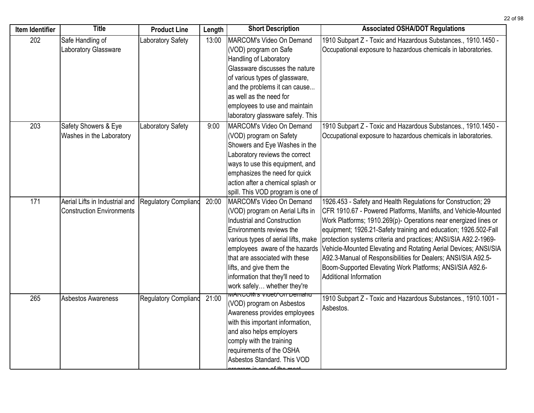| Item Identifier | <b>Title</b>                                                       | <b>Product Line</b>      | Length | <b>Short Description</b>                                                                                                                                                                                                                                                                                                                 | <b>Associated OSHA/DOT Regulations</b>                                                                                                                                                                                                                                                                                                                                                                                                                                                                                                                                    |
|-----------------|--------------------------------------------------------------------|--------------------------|--------|------------------------------------------------------------------------------------------------------------------------------------------------------------------------------------------------------------------------------------------------------------------------------------------------------------------------------------------|---------------------------------------------------------------------------------------------------------------------------------------------------------------------------------------------------------------------------------------------------------------------------------------------------------------------------------------------------------------------------------------------------------------------------------------------------------------------------------------------------------------------------------------------------------------------------|
| 202             | Safe Handling of<br>Laboratory Glassware                           | Laboratory Safety        | 13:00  | MARCOM's Video On Demand<br>(VOD) program on Safe<br>Handling of Laboratory<br>Glassware discusses the nature<br>of various types of glassware,<br>and the problems it can cause<br>as well as the need for<br>employees to use and maintain<br>laboratory glassware safely. This                                                        | 1910 Subpart Z - Toxic and Hazardous Substances., 1910.1450 -<br>Occupational exposure to hazardous chemicals in laboratories.                                                                                                                                                                                                                                                                                                                                                                                                                                            |
| 203             | Safety Showers & Eye<br>Washes in the Laboratory                   | <b>Laboratory Safety</b> | 9:00   | <b>MARCOM's Video On Demand</b><br>(VOD) program on Safety<br>Showers and Eye Washes in the<br>Laboratory reviews the correct<br>ways to use this equipment, and<br>emphasizes the need for quick<br>action after a chemical splash or<br>spill. This VOD program is one of                                                              | 1910 Subpart Z - Toxic and Hazardous Substances., 1910.1450 -<br>Occupational exposure to hazardous chemicals in laboratories.                                                                                                                                                                                                                                                                                                                                                                                                                                            |
| 171             | Aerial Lifts in Industrial and<br><b>Construction Environments</b> | Regulatory Compliand     | 20:00  | <b>MARCOM's Video On Demand</b><br>(VOD) program on Aerial Lifts in<br>Industrial and Construction<br>Environments reviews the<br>various types of aerial lifts, make<br>employees aware of the hazards<br>that are associated with these<br>lifts, and give them the<br>information that they'll need to<br>work safely whether they're | 1926.453 - Safety and Health Regulations for Construction; 29<br>CFR 1910.67 - Powered Platforms, Manlifts, and Vehicle-Mounted<br>Work Platforms; 1910.269(p)- Operations near energized lines or<br>equipment; 1926.21-Safety training and education; 1926.502-Fall<br>protection systems criteria and practices; ANSI/SIA A92.2-1969-<br>Vehicle-Mounted Elevating and Rotating Aerial Devices; ANSI/SIA<br>A92.3-Manual of Responsibilities for Dealers; ANSI/SIA A92.5-<br>Boom-Supported Elevating Work Platforms; ANSI/SIA A92.6-<br><b>Additional Information</b> |
| 265             | Asbestos Awareness                                                 | Regulatory Compliand     | 21:00  | <del>ινιΑκουίνι s video on Demahd</del><br>(VOD) program on Asbestos<br>Awareness provides employees<br>with this important information,<br>and also helps employers<br>comply with the training<br>requirements of the OSHA<br>Asbestos Standard. This VOD<br>saram in ana af tha mag                                                   | 1910 Subpart Z - Toxic and Hazardous Substances., 1910.1001 -<br>Asbestos.                                                                                                                                                                                                                                                                                                                                                                                                                                                                                                |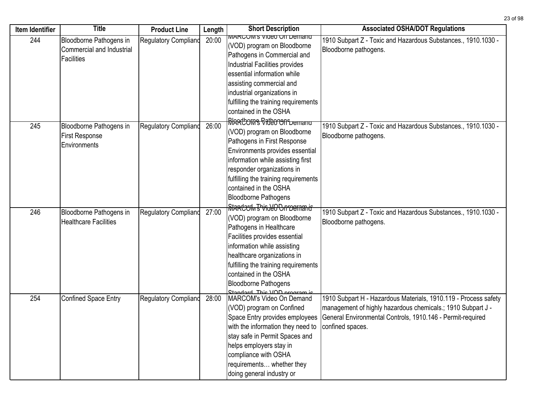| Item Identifier | <b>Title</b>                 | <b>Product Line</b>         | Length | <b>Short Description</b>             | <b>Associated OSHA/DOT Regulations</b>                          |
|-----------------|------------------------------|-----------------------------|--------|--------------------------------------|-----------------------------------------------------------------|
| 244             | Bloodborne Pathogens in      | <b>Regulatory Compliand</b> | 20:00  | <b>MARCOM'S VIDEO ON Demand</b>      | 1910 Subpart Z - Toxic and Hazardous Substances., 1910.1030 -   |
|                 | Commercial and Industrial    |                             |        | (VOD) program on Bloodborne          | Bloodborne pathogens.                                           |
|                 | <b>Facilities</b>            |                             |        | Pathogens in Commercial and          |                                                                 |
|                 |                              |                             |        | Industrial Facilities provides       |                                                                 |
|                 |                              |                             |        | essential information while          |                                                                 |
|                 |                              |                             |        | assisting commercial and             |                                                                 |
|                 |                              |                             |        | industrial organizations in          |                                                                 |
|                 |                              |                             |        | fulfilling the training requirements |                                                                 |
|                 |                              |                             |        | contained in the OSHA                |                                                                 |
| 245             | Bloodborne Pathogens in      | <b>Regulatory Compliand</b> | 26:00  | Rlarcoms Video on Demand             | 1910 Subpart Z - Toxic and Hazardous Substances., 1910.1030 -   |
|                 | First Response               |                             |        | (VOD) program on Bloodborne          | Bloodborne pathogens.                                           |
|                 | Environments                 |                             |        | Pathogens in First Response          |                                                                 |
|                 |                              |                             |        | Environments provides essential      |                                                                 |
|                 |                              |                             |        | information while assisting first    |                                                                 |
|                 |                              |                             |        | responder organizations in           |                                                                 |
|                 |                              |                             |        | fulfilling the training requirements |                                                                 |
|                 |                              |                             |        | contained in the OSHA                |                                                                 |
|                 |                              |                             |        | <b>Bloodborne Pathogens</b>          |                                                                 |
|                 |                              |                             |        | <del>Narduh ThinYODnroemanir</del>   |                                                                 |
| 246             | Bloodborne Pathogens in      | <b>Regulatory Compliand</b> | 27:00  | (VOD) program on Bloodborne          | 1910 Subpart Z - Toxic and Hazardous Substances., 1910.1030 -   |
|                 | <b>Healthcare Facilities</b> |                             |        | Pathogens in Healthcare              | Bloodborne pathogens.                                           |
|                 |                              |                             |        | Facilities provides essential        |                                                                 |
|                 |                              |                             |        | information while assisting          |                                                                 |
|                 |                              |                             |        | healthcare organizations in          |                                                                 |
|                 |                              |                             |        | fulfilling the training requirements |                                                                 |
|                 |                              |                             |        | contained in the OSHA                |                                                                 |
|                 |                              |                             |        | <b>Bloodborne Pathogens</b>          |                                                                 |
|                 |                              |                             |        | Ctandard This VOD program is         |                                                                 |
| 254             | <b>Confined Space Entry</b>  | <b>Regulatory Compliand</b> | 28:00  | MARCOM's Video On Demand             | 1910 Subpart H - Hazardous Materials, 1910.119 - Process safety |
|                 |                              |                             |        | (VOD) program on Confined            | management of highly hazardous chemicals.; 1910 Subpart J -     |
|                 |                              |                             |        | Space Entry provides employees       | General Environmental Controls, 1910.146 - Permit-required      |
|                 |                              |                             |        | with the information they need to    | confined spaces.                                                |
|                 |                              |                             |        | stay safe in Permit Spaces and       |                                                                 |
|                 |                              |                             |        | helps employers stay in              |                                                                 |
|                 |                              |                             |        | compliance with OSHA                 |                                                                 |
|                 |                              |                             |        | requirements whether they            |                                                                 |
|                 |                              |                             |        | doing general industry or            |                                                                 |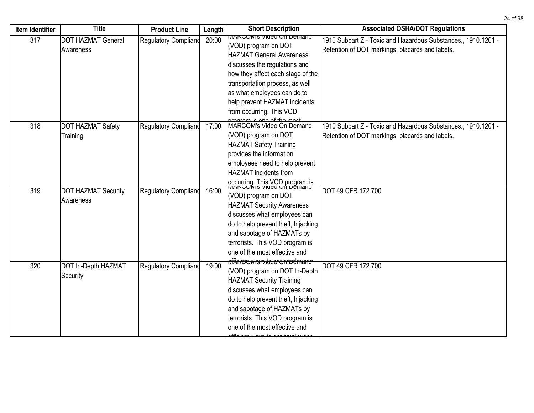| Item Identifier | <b>Title</b>                            | <b>Product Line</b>         | Length | <b>Short Description</b>                                                                                                                                                                                                                                                                        | <b>Associated OSHA/DOT Regulations</b>                                                                           |
|-----------------|-----------------------------------------|-----------------------------|--------|-------------------------------------------------------------------------------------------------------------------------------------------------------------------------------------------------------------------------------------------------------------------------------------------------|------------------------------------------------------------------------------------------------------------------|
| 317             | <b>DOT HAZMAT General</b><br>Awareness  | Regulatory Compliand        | 20:00  | <b>MARCOM'S VIDEO ON Demand</b><br>(VOD) program on DOT<br><b>HAZMAT General Awareness</b><br>discusses the regulations and<br>how they affect each stage of the<br>transportation process, as well<br>as what employees can do to<br>help prevent HAZMAT incidents<br>from occurring. This VOD | 1910 Subpart Z - Toxic and Hazardous Substances., 1910.1201 -<br>Retention of DOT markings, placards and labels. |
| 318             | DOT HAZMAT Safety<br>Training           | <b>Regulatory Compliand</b> | 17:00  | nrogram is one of the most<br>MARCOM's Video On Demand<br>(VOD) program on DOT<br><b>HAZMAT Safety Training</b><br>provides the information<br>employees need to help prevent<br><b>HAZMAT</b> incidents from<br>occurring. This VOD program is<br>Im <del>ARCOM's video on Demand</del>        | 1910 Subpart Z - Toxic and Hazardous Substances., 1910.1201 -<br>Retention of DOT markings, placards and labels. |
| 319             | <b>DOT HAZMAT Security</b><br>Awareness | <b>Regulatory Compliand</b> | 16:00  | (VOD) program on DOT<br><b>HAZMAT Security Awareness</b><br>discusses what employees can<br>do to help prevent theft, hijacking<br>and sabotage of HAZMATs by<br>terrorists. This VOD program is<br>one of the most effective and                                                               | DOT 49 CFR 172.700                                                                                               |
| 320             | DOT In-Depth HAZMAT<br>Security         | Regulatory Compliand        | 19:00  | <del>ดหักต่องแพร ง เลองปกาวย่าเลาฉา</del><br>(VOD) program on DOT In-Depth<br><b>HAZMAT Security Training</b><br>discusses what employees can<br>do to help prevent theft, hijacking<br>and sabotage of HAZMATs by<br>terrorists. This VOD program is<br>one of the most effective and          | DOT 49 CFR 172.700                                                                                               |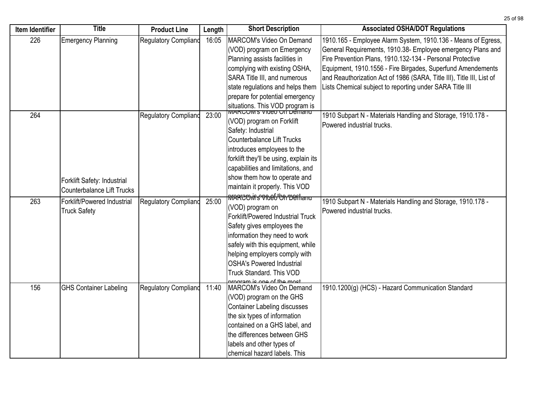| Item Identifier | <b>Title</b>                      | <b>Product Line</b>         | Length | <b>Short Description</b>                                      | <b>Associated OSHA/DOT Regulations</b>                                |
|-----------------|-----------------------------------|-----------------------------|--------|---------------------------------------------------------------|-----------------------------------------------------------------------|
| 226             | <b>Emergency Planning</b>         | Regulatory Compliand        | 16:05  | <b>MARCOM's Video On Demand</b>                               | 1910.165 - Employee Alarm System, 1910.136 - Means of Egress,         |
|                 |                                   |                             |        | (VOD) program on Emergency                                    | General Requirements, 1910.38- Employee emergency Plans and           |
|                 |                                   |                             |        | Planning assists facilities in                                | Fire Prevention Plans, 1910.132-134 - Personal Protective             |
|                 |                                   |                             |        | complying with existing OSHA,                                 | Equipment, 1910.1556 - Fire Birgades, Superfund Amendements           |
|                 |                                   |                             |        | SARA Title III, and numerous                                  | and Reauthorization Act of 1986 (SARA, Title III), Title III, List of |
|                 |                                   |                             |        | state regulations and helps them                              | Lists Chemical subject to reporting under SARA Title III              |
|                 |                                   |                             |        | prepare for potential emergency                               |                                                                       |
|                 |                                   |                             |        | situations. This VOD program is<br>MARCOM S VIDEO ON Demand   |                                                                       |
| 264             |                                   | <b>Regulatory Compliand</b> | 23:00  |                                                               | 1910 Subpart N - Materials Handling and Storage, 1910.178 -           |
|                 |                                   |                             |        | (VOD) program on Forklift                                     | Powered industrial trucks.                                            |
|                 |                                   |                             |        | Safety: Industrial                                            |                                                                       |
|                 |                                   |                             |        | <b>Counterbalance Lift Trucks</b>                             |                                                                       |
|                 |                                   |                             |        | introduces employees to the                                   |                                                                       |
|                 |                                   |                             |        | forklift they'll be using, explain its                        |                                                                       |
|                 |                                   |                             |        | capabilities and limitations, and                             |                                                                       |
|                 | Forklift Safety: Industrial       |                             |        | show them how to operate and                                  |                                                                       |
|                 | <b>Counterbalance Lift Trucks</b> |                             |        | maintain it properly. This VOD                                |                                                                       |
| 263             | Forklift/Powered Industrial       | Regulatory Compliand        | 25:00  | <del>MARCOM s Videt Un Defhand</del>                          | 1910 Subpart N - Materials Handling and Storage, 1910.178 -           |
|                 | <b>Truck Safety</b>               |                             |        | (VOD) program on                                              | Powered industrial trucks.                                            |
|                 |                                   |                             |        | Forklift/Powered Industrial Truck                             |                                                                       |
|                 |                                   |                             |        | Safety gives employees the                                    |                                                                       |
|                 |                                   |                             |        | information they need to work                                 |                                                                       |
|                 |                                   |                             |        | safely with this equipment, while                             |                                                                       |
|                 |                                   |                             |        | helping employers comply with                                 |                                                                       |
|                 |                                   |                             |        | <b>OSHA's Powered Industrial</b>                              |                                                                       |
|                 |                                   |                             |        | Truck Standard. This VOD                                      |                                                                       |
| 156             | <b>GHS Container Labeling</b>     | Regulatory Compliand        | 11:40  | program is one of the most<br><b>MARCOM's Video On Demand</b> | 1910.1200(g) (HCS) - Hazard Communication Standard                    |
|                 |                                   |                             |        | (VOD) program on the GHS                                      |                                                                       |
|                 |                                   |                             |        | <b>Container Labeling discusses</b>                           |                                                                       |
|                 |                                   |                             |        | the six types of information                                  |                                                                       |
|                 |                                   |                             |        | contained on a GHS label, and                                 |                                                                       |
|                 |                                   |                             |        | the differences between GHS                                   |                                                                       |
|                 |                                   |                             |        | labels and other types of                                     |                                                                       |
|                 |                                   |                             |        | chemical hazard labels. This                                  |                                                                       |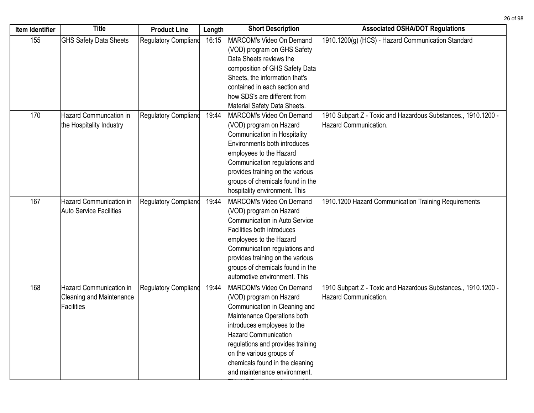| Item Identifier | <b>Title</b>                    | <b>Product Line</b>         | Length | <b>Short Description</b>                                | <b>Associated OSHA/DOT Regulations</b>                        |
|-----------------|---------------------------------|-----------------------------|--------|---------------------------------------------------------|---------------------------------------------------------------|
| 155             | <b>GHS Safety Data Sheets</b>   | Regulatory Compliand        | 16:15  | MARCOM's Video On Demand<br>(VOD) program on GHS Safety | 1910.1200(g) (HCS) - Hazard Communication Standard            |
|                 |                                 |                             |        | Data Sheets reviews the                                 |                                                               |
|                 |                                 |                             |        | composition of GHS Safety Data                          |                                                               |
|                 |                                 |                             |        | Sheets, the information that's                          |                                                               |
|                 |                                 |                             |        | contained in each section and                           |                                                               |
|                 |                                 |                             |        | how SDS's are different from                            |                                                               |
|                 |                                 |                             |        | Material Safety Data Sheets.                            |                                                               |
| 170             | <b>Hazard Communcation in</b>   | Regulatory Compliand        | 19:44  | MARCOM's Video On Demand                                | 1910 Subpart Z - Toxic and Hazardous Substances., 1910.1200 - |
|                 | the Hospitality Industry        |                             |        | (VOD) program on Hazard                                 | Hazard Communication.                                         |
|                 |                                 |                             |        | Communication in Hospitality                            |                                                               |
|                 |                                 |                             |        | <b>Environments both introduces</b>                     |                                                               |
|                 |                                 |                             |        | employees to the Hazard                                 |                                                               |
|                 |                                 |                             |        | Communication regulations and                           |                                                               |
|                 |                                 |                             |        | provides training on the various                        |                                                               |
|                 |                                 |                             |        | groups of chemicals found in the                        |                                                               |
|                 |                                 |                             |        | hospitality environment. This                           |                                                               |
| 167             | <b>Hazard Communication in</b>  | Regulatory Compliand        | 19:44  | <b>MARCOM's Video On Demand</b>                         | 1910.1200 Hazard Communication Training Requirements          |
|                 | <b>Auto Service Facilities</b>  |                             |        | (VOD) program on Hazard                                 |                                                               |
|                 |                                 |                             |        | <b>Communication in Auto Service</b>                    |                                                               |
|                 |                                 |                             |        | Facilities both introduces                              |                                                               |
|                 |                                 |                             |        | employees to the Hazard                                 |                                                               |
|                 |                                 |                             |        | Communication regulations and                           |                                                               |
|                 |                                 |                             |        | provides training on the various                        |                                                               |
|                 |                                 |                             |        | groups of chemicals found in the                        |                                                               |
|                 |                                 |                             |        | automotive environment. This                            |                                                               |
| 168             | Hazard Communication in         | <b>Regulatory Compliand</b> | 19:44  | MARCOM's Video On Demand                                | 1910 Subpart Z - Toxic and Hazardous Substances., 1910.1200 - |
|                 | <b>Cleaning and Maintenance</b> |                             |        | (VOD) program on Hazard                                 | Hazard Communication.                                         |
|                 | <b>Facilities</b>               |                             |        | Communication in Cleaning and                           |                                                               |
|                 |                                 |                             |        | Maintenance Operations both                             |                                                               |
|                 |                                 |                             |        | introduces employees to the                             |                                                               |
|                 |                                 |                             |        | <b>Hazard Communication</b>                             |                                                               |
|                 |                                 |                             |        | regulations and provides training                       |                                                               |
|                 |                                 |                             |        | on the various groups of                                |                                                               |
|                 |                                 |                             |        | chemicals found in the cleaning                         |                                                               |
|                 |                                 |                             |        | and maintenance environment.                            |                                                               |

Thi VOD i f th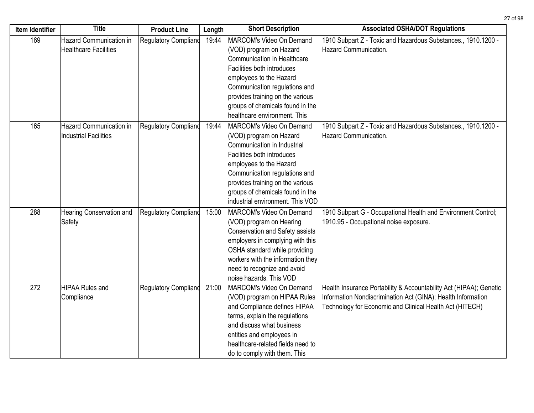| Item Identifier | <b>Title</b>                 | <b>Product Line</b>  | Length | <b>Short Description</b>               | <b>Associated OSHA/DOT Regulations</b>                             |
|-----------------|------------------------------|----------------------|--------|----------------------------------------|--------------------------------------------------------------------|
| 169             | Hazard Communication in      | Regulatory Compliand | 19:44  | MARCOM's Video On Demand               | 1910 Subpart Z - Toxic and Hazardous Substances., 1910.1200 -      |
|                 | <b>Healthcare Facilities</b> |                      |        | (VOD) program on Hazard                | Hazard Communication.                                              |
|                 |                              |                      |        | Communication in Healthcare            |                                                                    |
|                 |                              |                      |        | Facilities both introduces             |                                                                    |
|                 |                              |                      |        | employees to the Hazard                |                                                                    |
|                 |                              |                      |        | Communication regulations and          |                                                                    |
|                 |                              |                      |        | provides training on the various       |                                                                    |
|                 |                              |                      |        | groups of chemicals found in the       |                                                                    |
|                 |                              |                      |        | healthcare environment. This           |                                                                    |
| 165             | Hazard Communication in      | Regulatory Compliand | 19:44  | MARCOM's Video On Demand               | 1910 Subpart Z - Toxic and Hazardous Substances., 1910.1200 -      |
|                 | <b>Industrial Facilities</b> |                      |        | (VOD) program on Hazard                | Hazard Communication.                                              |
|                 |                              |                      |        | Communication in Industrial            |                                                                    |
|                 |                              |                      |        | Facilities both introduces             |                                                                    |
|                 |                              |                      |        | employees to the Hazard                |                                                                    |
|                 |                              |                      |        | Communication regulations and          |                                                                    |
|                 |                              |                      |        | provides training on the various       |                                                                    |
|                 |                              |                      |        | groups of chemicals found in the       |                                                                    |
|                 |                              |                      |        | industrial environment. This VOD       |                                                                    |
| 288             | Hearing Conservation and     | Regulatory Compliand | 15:00  | MARCOM's Video On Demand               | 1910 Subpart G - Occupational Health and Environment Control;      |
|                 | Safety                       |                      |        | (VOD) program on Hearing               | 1910.95 - Occupational noise exposure.                             |
|                 |                              |                      |        | <b>Conservation and Safety assists</b> |                                                                    |
|                 |                              |                      |        | employers in complying with this       |                                                                    |
|                 |                              |                      |        | OSHA standard while providing          |                                                                    |
|                 |                              |                      |        | workers with the information they      |                                                                    |
|                 |                              |                      |        | need to recognize and avoid            |                                                                    |
|                 |                              |                      |        | noise hazards. This VOD                |                                                                    |
| 272             | <b>HIPAA Rules and</b>       | Regulatory Compliand | 21:00  | MARCOM's Video On Demand               | Health Insurance Portability & Accountability Act (HIPAA); Genetic |
|                 | Compliance                   |                      |        | (VOD) program on HIPAA Rules           | Information Nondiscrimination Act (GINA); Health Information       |
|                 |                              |                      |        | and Compliance defines HIPAA           | Technology for Economic and Clinical Health Act (HITECH)           |
|                 |                              |                      |        | terms, explain the regulations         |                                                                    |
|                 |                              |                      |        | and discuss what business              |                                                                    |
|                 |                              |                      |        | entities and employees in              |                                                                    |
|                 |                              |                      |        | healthcare-related fields need to      |                                                                    |
|                 |                              |                      |        | do to comply with them. This           |                                                                    |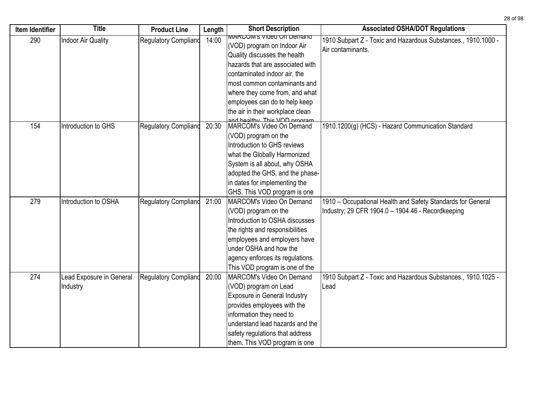| Item Identifier | <b>Title</b>                         | <b>Product Line</b>  | Length | <b>Short Description</b>                                                                                                                                                                                                                                                                            | <b>Associated OSHA/DOT Regulations</b>                                                                           |
|-----------------|--------------------------------------|----------------------|--------|-----------------------------------------------------------------------------------------------------------------------------------------------------------------------------------------------------------------------------------------------------------------------------------------------------|------------------------------------------------------------------------------------------------------------------|
| 290             | Indoor Air Quality                   | Regulatory Compliand | 14:00  | MARCOM S VIDEO ON DEMINIO<br>(VOD) program on Indoor Air<br>Quality discusses the health<br>hazards that are associated with<br>contaminated indoor air, the<br>most common contaminants and<br>where they come from, and what<br>employees can do to help keep<br>the air in their workplace clean | 1910 Subpart Z - Toxic and Hazardous Substances., 1910.1000 -<br>Air contaminants.                               |
| 154             | Introduction to GHS                  | Regulatory Compliand | 20:30  | and hoalthy Thie VOD program<br>MARCOM's Video On Demand<br>(VOD) program on the<br>Introduction to GHS reviews<br>what the Globally Harmonized<br>System is all about, why OSHA<br>adopted the GHS, and the phase-<br>in dates for implementing the<br>GHS. This VOD program is one                | 1910.1200(g) (HCS) - Hazard Communication Standard                                                               |
| 279             | Introduction to OSHA                 | Regulatory Compliand | 21:00  | MARCOM's Video On Demand<br>(VOD) program on the<br>Introduction to OSHA discusses<br>the rights and responsibilities<br>employees and employers have<br>under OSHA and how the<br>agency enforces its regulations.<br>This VOD program is one of the                                               | 1910 - Occupational Health and Safety Standards for General<br>Industry; 29 CFR 1904.0 - 1904.46 - Recordkeeping |
| 274             | Lead Exposure in General<br>Industry | Regulatory Compliand | 20:00  | MARCOM's Video On Demand<br>(VOD) program on Lead<br>Exposure in General Industry<br>provides employees with the<br>information they need to<br>understand lead hazards and the<br>safety regulations that address<br>them. This VOD program is one                                                 | 1910 Subpart Z - Toxic and Hazardous Substances., 1910.1025 -<br>Lead                                            |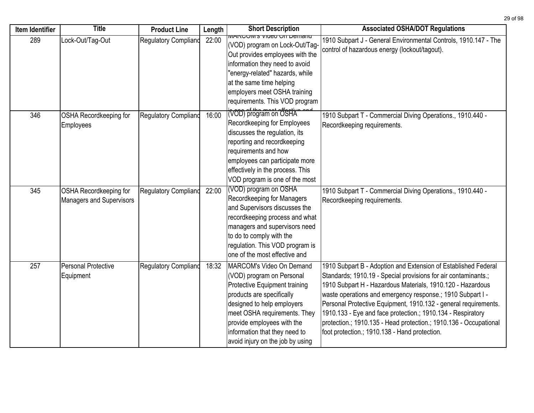| <b>Item Identifier</b> | <b>Title</b>               | <b>Product Line</b>         | Length | <b>Short Description</b>                                  | <b>Associated OSHA/DOT Regulations</b>                            |
|------------------------|----------------------------|-----------------------------|--------|-----------------------------------------------------------|-------------------------------------------------------------------|
| 289                    | Lock-Out/Tag-Out           | Regulatory Compliand        | 22:00  | ווט ט <del>ש</del> טוע 3 וווטטאמו<br>Demanu               | 1910 Subpart J - General Environmental Controls, 1910.147 - The   |
|                        |                            |                             |        | (VOD) program on Lock-Out/Tag-                            | control of hazardous energy (lockout/tagout).                     |
|                        |                            |                             |        | Out provides employees with the                           |                                                                   |
|                        |                            |                             |        | information they need to avoid                            |                                                                   |
|                        |                            |                             |        | 'energy-related" hazards, while                           |                                                                   |
|                        |                            |                             |        | at the same time helping                                  |                                                                   |
|                        |                            |                             |        | employers meet OSHA training                              |                                                                   |
|                        |                            |                             |        | requirements. This VOD program                            |                                                                   |
| 346                    | OSHA Recordkeeping for     | Regulatory Compliand        | 16:00  | in and of the meet offective and<br>(VOD) program on OSHA | 1910 Subpart T - Commercial Diving Operations., 1910.440 -        |
|                        | <b>Employees</b>           |                             |        | Recordkeeping for Employees                               | Recordkeeping requirements.                                       |
|                        |                            |                             |        | discusses the regulation, its                             |                                                                   |
|                        |                            |                             |        | reporting and recordkeeping                               |                                                                   |
|                        |                            |                             |        | requirements and how                                      |                                                                   |
|                        |                            |                             |        | employees can participate more                            |                                                                   |
|                        |                            |                             |        | effectively in the process. This                          |                                                                   |
|                        |                            |                             |        | VOD program is one of the most                            |                                                                   |
| 345                    | OSHA Recordkeeping for     | <b>Regulatory Compliand</b> | 22:00  | (VOD) program on OSHA                                     | 1910 Subpart T - Commercial Diving Operations., 1910.440 -        |
|                        | Managers and Supervisors   |                             |        | Recordkeeping for Managers                                | Recordkeeping requirements.                                       |
|                        |                            |                             |        | and Supervisors discusses the                             |                                                                   |
|                        |                            |                             |        | recordkeeping process and what                            |                                                                   |
|                        |                            |                             |        | managers and supervisors need                             |                                                                   |
|                        |                            |                             |        | to do to comply with the                                  |                                                                   |
|                        |                            |                             |        | regulation. This VOD program is                           |                                                                   |
|                        |                            |                             |        | one of the most effective and                             |                                                                   |
| 257                    | <b>Personal Protective</b> | Regulatory Compliand        | 18:32  | <b>MARCOM's Video On Demand</b>                           | 1910 Subpart B - Adoption and Extension of Established Federal    |
|                        | Equipment                  |                             |        | (VOD) program on Personal                                 | Standards; 1910.19 - Special provisions for air contaminants.;    |
|                        |                            |                             |        | Protective Equipment training                             | 1910 Subpart H - Hazardous Materials, 1910.120 - Hazardous        |
|                        |                            |                             |        | products are specifically                                 | waste operations and emergency response.; 1910 Subpart I -        |
|                        |                            |                             |        | designed to help employers                                | Personal Protective Equipment, 1910.132 - general requirements.   |
|                        |                            |                             |        | meet OSHA requirements. They                              | 1910.133 - Eye and face protection.; 1910.134 - Respiratory       |
|                        |                            |                             |        | provide employees with the                                | protection.; 1910.135 - Head protection.; 1910.136 - Occupational |
|                        |                            |                             |        | information that they need to                             | foot protection.; 1910.138 - Hand protection.                     |

avoid injury on the job by using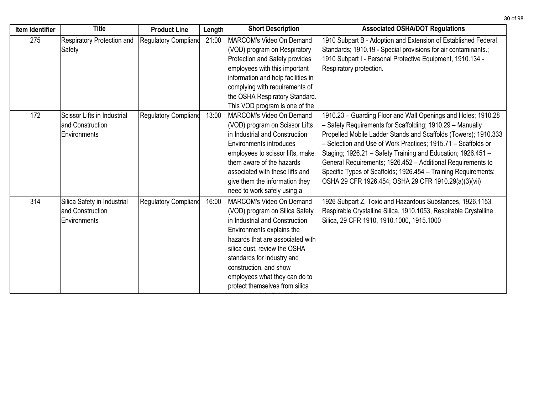| Item Identifier | <b>Title</b>                                                    | <b>Product Line</b>  | Length | <b>Short Description</b>                                                                                                                                                                                                                                                                                                        | <b>Associated OSHA/DOT Regulations</b>                                                                                                                                                                                                                                                                                                                                                                                                                                                                                  |
|-----------------|-----------------------------------------------------------------|----------------------|--------|---------------------------------------------------------------------------------------------------------------------------------------------------------------------------------------------------------------------------------------------------------------------------------------------------------------------------------|-------------------------------------------------------------------------------------------------------------------------------------------------------------------------------------------------------------------------------------------------------------------------------------------------------------------------------------------------------------------------------------------------------------------------------------------------------------------------------------------------------------------------|
| 275             | Respiratory Protection and<br>Safety                            | Regulatory Compliand | 21:00  | <b>MARCOM's Video On Demand</b><br>(VOD) program on Respiratory<br>Protection and Safety provides<br>employees with this important<br>information and help facilities in<br>complying with requirements of<br>the OSHA Respiratory Standard.<br>This VOD program is one of the                                                  | 1910 Subpart B - Adoption and Extension of Established Federal<br>Standards; 1910.19 - Special provisions for air contaminants.;<br>1910 Subpart I - Personal Protective Equipment, 1910.134 -<br>Respiratory protection.                                                                                                                                                                                                                                                                                               |
| 172             | Scissor Lifts in Industrial<br>and Construction<br>Environments | Regulatory Compliand | 13:00  | <b>MARCOM's Video On Demand</b><br>(VOD) program on Scissor Lifts<br>in Industrial and Construction<br>Environments introduces<br>employees to scissor lifts, make<br>them aware of the hazards<br>associated with these lifts and<br>give them the information they<br>need to work safely using a                             | 1910.23 - Guarding Floor and Wall Openings and Holes; 1910.28<br>- Safety Requirements for Scaffolding; 1910.29 - Manually<br>Propelled Mobile Ladder Stands and Scaffolds (Towers); 1910.333<br>- Selection and Use of Work Practices; 1915.71 - Scaffolds or<br>Staging; 1926.21 - Safety Training and Education; 1926.451 -<br>General Requirements; 1926.452 - Additional Requirements to<br>Specific Types of Scaffolds; 1926.454 - Training Requirements;<br>OSHA 29 CFR 1926.454; OSHA 29 CFR 1910.29(a)(3)(vii) |
| 314             | Silica Safety in Industrial<br>and Construction<br>Environments | Regulatory Compliand | 16:00  | <b>MARCOM's Video On Demand</b><br>(VOD) program on Silica Safety<br>in Industrial and Construction<br>Environments explains the<br>hazards that are associated with<br>silica dust, review the OSHA<br>standards for industry and<br>construction, and show<br>employees what they can do to<br>protect themselves from silica | 1926 Subpart Z, Toxic and Hazardous Substances, 1926.1153.<br>Respirable Crystalline Silica, 1910.1053, Respirable Crystalline<br>Silica, 29 CFR 1910, 1910.1000, 1915.1000                                                                                                                                                                                                                                                                                                                                             |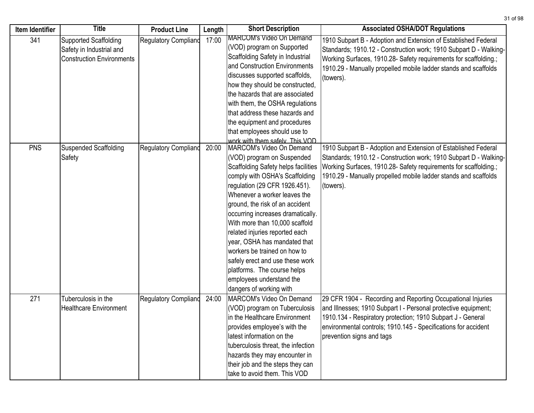| Item Identifier | <b>Title</b>                     | <b>Product Line</b>  | Length | <b>Short Description</b>            | <b>Associated OSHA/DOT Regulations</b>                            |
|-----------------|----------------------------------|----------------------|--------|-------------------------------------|-------------------------------------------------------------------|
| 341             | <b>Supported Scaffolding</b>     | Regulatory Compliand | 17:00  | <b>MARCOM's Video On Demand</b>     | 1910 Subpart B - Adoption and Extension of Established Federal    |
|                 | Safety in Industrial and         |                      |        | (VOD) program on Supported          | Standards; 1910.12 - Construction work; 1910 Subpart D - Walking- |
|                 | <b>Construction Environments</b> |                      |        | Scaffolding Safety in Industrial    | Working Surfaces, 1910.28- Safety requirements for scaffolding.;  |
|                 |                                  |                      |        | and Construction Environments       | 1910.29 - Manually propelled mobile ladder stands and scaffolds   |
|                 |                                  |                      |        | discusses supported scaffolds,      | (towers).                                                         |
|                 |                                  |                      |        | how they should be constructed,     |                                                                   |
|                 |                                  |                      |        | the hazards that are associated     |                                                                   |
|                 |                                  |                      |        | with them, the OSHA regulations     |                                                                   |
|                 |                                  |                      |        | that address these hazards and      |                                                                   |
|                 |                                  |                      |        | the equipment and procedures        |                                                                   |
|                 |                                  |                      |        | that employees should use to        |                                                                   |
|                 |                                  |                      |        | work with them safely This VOD      |                                                                   |
| <b>PNS</b>      | <b>Suspended Scaffolding</b>     | Regulatory Compliand | 20:00  | MARCOM's Video On Demand            | 1910 Subpart B - Adoption and Extension of Established Federal    |
|                 | Safety                           |                      |        | (VOD) program on Suspended          | Standards; 1910.12 - Construction work; 1910 Subpart D - Walking- |
|                 |                                  |                      |        | Scaffolding Safety helps facilities | Working Surfaces, 1910.28- Safety requirements for scaffolding.;  |
|                 |                                  |                      |        | comply with OSHA's Scaffolding      | 1910.29 - Manually propelled mobile ladder stands and scaffolds   |
|                 |                                  |                      |        | regulation (29 CFR 1926.451).       | (towers).                                                         |
|                 |                                  |                      |        | Whenever a worker leaves the        |                                                                   |
|                 |                                  |                      |        | ground, the risk of an accident     |                                                                   |
|                 |                                  |                      |        | occurring increases dramatically.   |                                                                   |
|                 |                                  |                      |        | With more than 10,000 scaffold      |                                                                   |
|                 |                                  |                      |        | related injuries reported each      |                                                                   |
|                 |                                  |                      |        | year, OSHA has mandated that        |                                                                   |
|                 |                                  |                      |        | workers be trained on how to        |                                                                   |
|                 |                                  |                      |        | safely erect and use these work     |                                                                   |
|                 |                                  |                      |        | platforms. The course helps         |                                                                   |
|                 |                                  |                      |        | employees understand the            |                                                                   |
|                 |                                  |                      |        | dangers of working with             |                                                                   |
| 271             | Tuberculosis in the              | Regulatory Compliand | 24:00  | MARCOM's Video On Demand            | 29 CFR 1904 - Recording and Reporting Occupational Injuries       |
|                 | <b>Healthcare Environment</b>    |                      |        | (VOD) program on Tuberculosis       | and Illnesses; 1910 Subpart I - Personal protective equipment;    |
|                 |                                  |                      |        | in the Healthcare Environment       | 1910.134 - Respiratory protection; 1910 Subpart J - General       |
|                 |                                  |                      |        | provides employee's with the        | environmental controls; 1910.145 - Specifications for accident    |
|                 |                                  |                      |        | latest information on the           | prevention signs and tags                                         |
|                 |                                  |                      |        | tuberculosis threat, the infection  |                                                                   |
|                 |                                  |                      |        | hazards they may encounter in       |                                                                   |
|                 |                                  |                      |        | their job and the steps they can    |                                                                   |
|                 |                                  |                      |        | take to avoid them. This VOD        |                                                                   |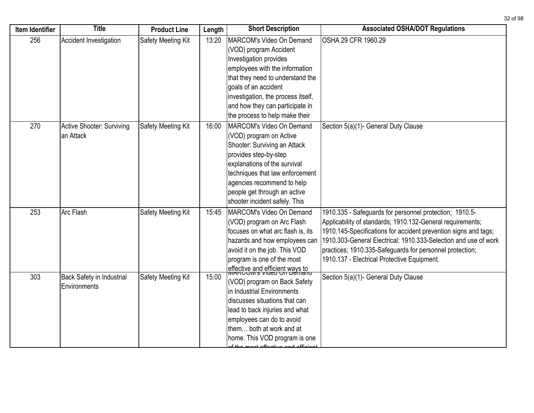| Item Identifier | <b>Title</b>                                  | <b>Product Line</b> | Length | <b>Short Description</b>                                                                                                                                                                                                                                                              | <b>Associated OSHA/DOT Regulations</b>                                                                                                                                                                                                                                                                                                                                 |
|-----------------|-----------------------------------------------|---------------------|--------|---------------------------------------------------------------------------------------------------------------------------------------------------------------------------------------------------------------------------------------------------------------------------------------|------------------------------------------------------------------------------------------------------------------------------------------------------------------------------------------------------------------------------------------------------------------------------------------------------------------------------------------------------------------------|
| 256             | Accident Investigation                        | Safety Meeting Kit  | 13:20  | MARCOM's Video On Demand<br>(VOD) program Accident<br>Investigation provides<br>employees with the information<br>that they need to understand the<br>goals of an accident<br>investigation, the process itself,<br>and how they can participate in<br>the process to help make their | OSHA 29 CFR 1960.29                                                                                                                                                                                                                                                                                                                                                    |
| 270             | <b>Active Shooter: Surviving</b><br>an Attack | Safety Meeting Kit  | 16:00  | MARCOM's Video On Demand<br>(VOD) program on Active<br>Shooter: Surviving an Attack<br>provides step-by-step<br>explanations of the survival<br>techniques that law enforcement<br>agencies recommend to help<br>people get through an active<br>shooter incident safely. This        | Section 5(a)(1)- General Duty Clause                                                                                                                                                                                                                                                                                                                                   |
| 253             | Arc Flash                                     | Safety Meeting Kit  | 15:45  | MARCOM's Video On Demand<br>(VOD) program on Arc Flash<br>focuses on what arc flash is, its<br>hazards and how employees can<br>avoid it on the job. This VOD<br>program is one of the most<br>effective and efficient ways to<br>MARCOM's video On Demand                            | 1910.335 - Safeguards for personnel protection; 1910.5-<br>Applicability of standards; 1910.132-General requirements;<br>1910.145-Specifications for accident prevention signs and tags;<br>1910.303-General Electrical; 1910.333-Selection and use of work<br>practices; 1910.335-Safeguards for personnel protection;<br>1910.137 - Electrical Protective Equipment. |
| 303             | Back Safety in Industrial<br>Environments     | Safety Meeting Kit  | 15:00  | (VOD) program on Back Safety<br>in Industrial Environments<br>discusses situations that can<br>lead to back injuries and what<br>employees can do to avoid<br>them both at work and at<br>home. This VOD program is one                                                               | Section 5(a)(1)- General Duty Clause                                                                                                                                                                                                                                                                                                                                   |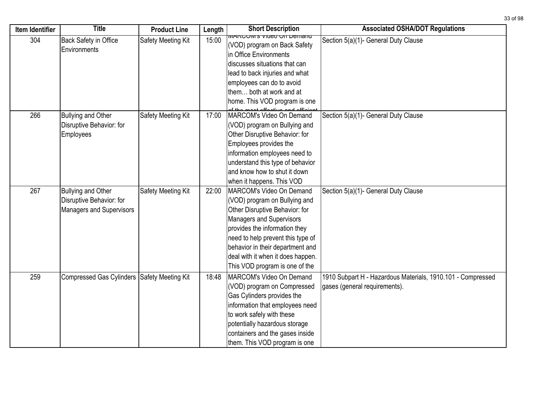| Item Identifier | <b>Title</b>                                | <b>Product Line</b> | Length | <b>Short Description</b>                                         | <b>Associated OSHA/DOT Regulations</b>                      |
|-----------------|---------------------------------------------|---------------------|--------|------------------------------------------------------------------|-------------------------------------------------------------|
| 304             | Back Safety in Office                       | Safety Meeting Kit  | 15:00  | <u>מוסט ווט טשטוע פוויוסטעמא</u><br>(VOD) program on Back Safety | Section 5(a)(1)- General Duty Clause                        |
|                 | Environments                                |                     |        | in Office Environments                                           |                                                             |
|                 |                                             |                     |        | discusses situations that can                                    |                                                             |
|                 |                                             |                     |        | lead to back injuries and what                                   |                                                             |
|                 |                                             |                     |        | employees can do to avoid                                        |                                                             |
|                 |                                             |                     |        | them both at work and at                                         |                                                             |
|                 |                                             |                     |        | home. This VOD program is one                                    |                                                             |
|                 |                                             |                     |        | <u>t tha maat affaatiya and afficia</u>                          |                                                             |
| 266             | <b>Bullying and Other</b>                   | Safety Meeting Kit  | 17:00  | MARCOM's Video On Demand                                         | Section 5(a)(1)- General Duty Clause                        |
|                 | Disruptive Behavior: for                    |                     |        | (VOD) program on Bullying and                                    |                                                             |
|                 | Employees                                   |                     |        | Other Disruptive Behavior: for                                   |                                                             |
|                 |                                             |                     |        | Employees provides the                                           |                                                             |
|                 |                                             |                     |        | information employees need to                                    |                                                             |
|                 |                                             |                     |        | understand this type of behavior                                 |                                                             |
|                 |                                             |                     |        | and know how to shut it down                                     |                                                             |
|                 |                                             |                     |        | when it happens. This VOD                                        |                                                             |
| 267             | <b>Bullying and Other</b>                   | Safety Meeting Kit  | 22:00  | MARCOM's Video On Demand                                         | Section 5(a)(1)- General Duty Clause                        |
|                 | Disruptive Behavior: for                    |                     |        | (VOD) program on Bullying and                                    |                                                             |
|                 | Managers and Supervisors                    |                     |        | Other Disruptive Behavior: for                                   |                                                             |
|                 |                                             |                     |        | Managers and Supervisors                                         |                                                             |
|                 |                                             |                     |        | provides the information they                                    |                                                             |
|                 |                                             |                     |        | need to help prevent this type of                                |                                                             |
|                 |                                             |                     |        | behavior in their department and                                 |                                                             |
|                 |                                             |                     |        | deal with it when it does happen.                                |                                                             |
|                 |                                             |                     |        | This VOD program is one of the                                   |                                                             |
| 259             | Compressed Gas Cylinders Safety Meeting Kit |                     | 18:48  | MARCOM's Video On Demand                                         | 1910 Subpart H - Hazardous Materials, 1910.101 - Compressed |
|                 |                                             |                     |        | (VOD) program on Compressed                                      | gases (general requirements).                               |
|                 |                                             |                     |        | Gas Cylinders provides the                                       |                                                             |
|                 |                                             |                     |        | information that employees need                                  |                                                             |
|                 |                                             |                     |        | to work safely with these                                        |                                                             |
|                 |                                             |                     |        | potentially hazardous storage                                    |                                                             |
|                 |                                             |                     |        | containers and the gases inside                                  |                                                             |
|                 |                                             |                     |        | them. This VOD program is one                                    |                                                             |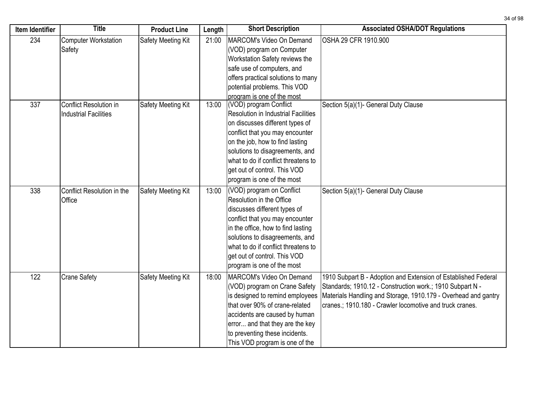| Item Identifier | <b>Title</b>                  | <b>Product Line</b> | Length | <b>Short Description</b>                   | <b>Associated OSHA/DOT Regulations</b>                         |
|-----------------|-------------------------------|---------------------|--------|--------------------------------------------|----------------------------------------------------------------|
| 234             | <b>Computer Workstation</b>   | Safety Meeting Kit  | 21:00  | MARCOM's Video On Demand                   | OSHA 29 CFR 1910.900                                           |
|                 | Safety                        |                     |        | (VOD) program on Computer                  |                                                                |
|                 |                               |                     |        | Workstation Safety reviews the             |                                                                |
|                 |                               |                     |        | safe use of computers, and                 |                                                                |
|                 |                               |                     |        | offers practical solutions to many         |                                                                |
|                 |                               |                     |        | potential problems. This VOD               |                                                                |
|                 |                               |                     |        | program is one of the most                 |                                                                |
| 337             | <b>Conflict Resolution in</b> | Safety Meeting Kit  | 13:00  | (VOD) program Conflict                     | Section 5(a)(1)- General Duty Clause                           |
|                 | <b>Industrial Facilities</b>  |                     |        | <b>Resolution in Industrial Facilities</b> |                                                                |
|                 |                               |                     |        | on discusses different types of            |                                                                |
|                 |                               |                     |        | conflict that you may encounter            |                                                                |
|                 |                               |                     |        | on the job, how to find lasting            |                                                                |
|                 |                               |                     |        | solutions to disagreements, and            |                                                                |
|                 |                               |                     |        | what to do if conflict threatens to        |                                                                |
|                 |                               |                     |        | get out of control. This VOD               |                                                                |
|                 |                               |                     |        | program is one of the most                 |                                                                |
| 338             | Conflict Resolution in the    | Safety Meeting Kit  | 13:00  | (VOD) program on Conflict                  | Section 5(a)(1)- General Duty Clause                           |
|                 | Office                        |                     |        | Resolution in the Office                   |                                                                |
|                 |                               |                     |        | discusses different types of               |                                                                |
|                 |                               |                     |        | conflict that you may encounter            |                                                                |
|                 |                               |                     |        | in the office, how to find lasting         |                                                                |
|                 |                               |                     |        | solutions to disagreements, and            |                                                                |
|                 |                               |                     |        | what to do if conflict threatens to        |                                                                |
|                 |                               |                     |        | get out of control. This VOD               |                                                                |
|                 |                               |                     |        | program is one of the most                 |                                                                |
| 122             | <b>Crane Safety</b>           | Safety Meeting Kit  | 18:00  | MARCOM's Video On Demand                   | 1910 Subpart B - Adoption and Extension of Established Federal |
|                 |                               |                     |        | (VOD) program on Crane Safety              | Standards; 1910.12 - Construction work.; 1910 Subpart N -      |
|                 |                               |                     |        | is designed to remind employees            | Materials Handling and Storage, 1910.179 - Overhead and gantry |
|                 |                               |                     |        | that over 90% of crane-related             | cranes.; 1910.180 - Crawler locomotive and truck cranes.       |
|                 |                               |                     |        | accidents are caused by human              |                                                                |
|                 |                               |                     |        | error and that they are the key            |                                                                |
|                 |                               |                     |        | to preventing these incidents.             |                                                                |
|                 |                               |                     |        | This VOD program is one of the             |                                                                |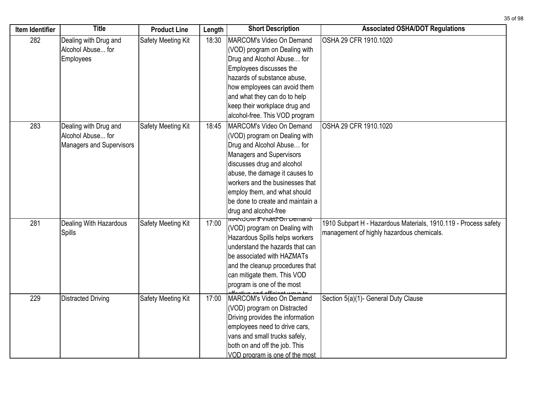| <b>Item Identifier</b> | <b>Title</b>                    | <b>Product Line</b>       | Length | <b>Short Description</b>                                    | <b>Associated OSHA/DOT Regulations</b>                          |
|------------------------|---------------------------------|---------------------------|--------|-------------------------------------------------------------|-----------------------------------------------------------------|
| 282                    | Dealing with Drug and           | Safety Meeting Kit        | 18:30  | MARCOM's Video On Demand                                    | OSHA 29 CFR 1910.1020                                           |
|                        | Alcohol Abuse for               |                           |        | (VOD) program on Dealing with                               |                                                                 |
|                        | Employees                       |                           |        | Drug and Alcohol Abuse for                                  |                                                                 |
|                        |                                 |                           |        | Employees discusses the                                     |                                                                 |
|                        |                                 |                           |        | hazards of substance abuse,                                 |                                                                 |
|                        |                                 |                           |        | how employees can avoid them                                |                                                                 |
|                        |                                 |                           |        | and what they can do to help                                |                                                                 |
|                        |                                 |                           |        | keep their workplace drug and                               |                                                                 |
|                        |                                 |                           |        | alcohol-free. This VOD program                              |                                                                 |
| 283                    | Dealing with Drug and           | Safety Meeting Kit        | 18:45  | MARCOM's Video On Demand                                    | OSHA 29 CFR 1910.1020                                           |
|                        | Alcohol Abuse for               |                           |        | (VOD) program on Dealing with                               |                                                                 |
|                        | <b>Managers and Supervisors</b> |                           |        | Drug and Alcohol Abuse for                                  |                                                                 |
|                        |                                 |                           |        | <b>Managers and Supervisors</b>                             |                                                                 |
|                        |                                 |                           |        | discusses drug and alcohol                                  |                                                                 |
|                        |                                 |                           |        | abuse, the damage it causes to                              |                                                                 |
|                        |                                 |                           |        | workers and the businesses that                             |                                                                 |
|                        |                                 |                           |        | employ them, and what should                                |                                                                 |
|                        |                                 |                           |        | be done to create and maintain a                            |                                                                 |
|                        |                                 |                           |        | drug and alcohol-free                                       |                                                                 |
| 281                    | <b>Dealing With Hazardous</b>   | Safety Meeting Kit        | 17:00  | <b>MAKCOM 5 VIDEO ON Demand</b>                             | 1910 Subpart H - Hazardous Materials, 1910.119 - Process safety |
|                        | Spills                          |                           |        | (VOD) program on Dealing with                               | management of highly hazardous chemicals.                       |
|                        |                                 |                           |        | Hazardous Spills helps workers                              |                                                                 |
|                        |                                 |                           |        | understand the hazards that can                             |                                                                 |
|                        |                                 |                           |        | be associated with HAZMATs                                  |                                                                 |
|                        |                                 |                           |        | and the cleanup procedures that                             |                                                                 |
|                        |                                 |                           |        | can mitigate them. This VOD                                 |                                                                 |
|                        |                                 |                           |        | program is one of the most                                  |                                                                 |
| 229                    | <b>Distracted Driving</b>       | <b>Safety Meeting Kit</b> | 17:00  | effective and efficient were to<br>MARCOM's Video On Demand | Section 5(a)(1)- General Duty Clause                            |
|                        |                                 |                           |        | (VOD) program on Distracted                                 |                                                                 |
|                        |                                 |                           |        | Driving provides the information                            |                                                                 |
|                        |                                 |                           |        | employees need to drive cars,                               |                                                                 |
|                        |                                 |                           |        | vans and small trucks safely,                               |                                                                 |
|                        |                                 |                           |        | both on and off the job. This                               |                                                                 |
|                        |                                 |                           |        | VOD program is one of the most                              |                                                                 |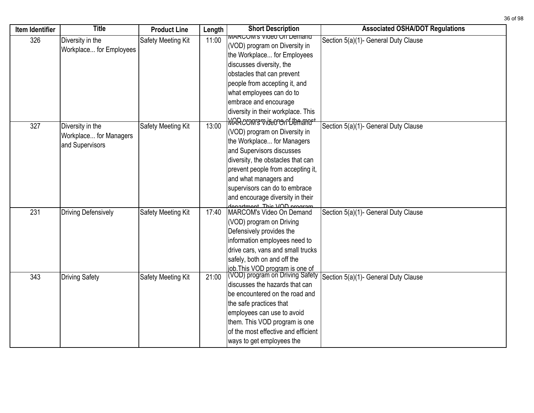| Item Identifier | <b>Title</b>                                                  | <b>Product Line</b> | Length | <b>Short Description</b>                                                                                                                                                                                                                                                                                                                 | <b>Associated OSHA/DOT Regulations</b> |
|-----------------|---------------------------------------------------------------|---------------------|--------|------------------------------------------------------------------------------------------------------------------------------------------------------------------------------------------------------------------------------------------------------------------------------------------------------------------------------------------|----------------------------------------|
| 326             | Diversity in the<br>Workplace for Employees                   | Safety Meeting Kit  | 11:00  | <b>MARCOM'S VIDEO ON Demand</b><br>(VOD) program on Diversity in<br>the Workplace for Employees<br>discusses diversity, the<br>obstacles that can prevent<br>people from accepting it, and<br>what employees can do to<br>embrace and encourage<br>diversity in their workplace. This                                                    | Section 5(a)(1)- General Duty Clause   |
| 327             | Diversity in the<br>Workplace for Managers<br>and Supervisors | Safety Meeting Kit  | 13:00  | <del>MARCOM's video on Uthama '</del><br>(VOD) program on Diversity in<br>the Workplace for Managers<br>and Supervisors discusses<br>diversity, the obstacles that can<br>prevent people from accepting it,<br>and what managers and<br>supervisors can do to embrace<br>and encourage diversity in their<br>denartment This VOD program | Section 5(a)(1)- General Duty Clause   |
| 231             | <b>Driving Defensively</b>                                    | Safety Meeting Kit  | 17:40  | MARCOM's Video On Demand<br>(VOD) program on Driving<br>Defensively provides the<br>information employees need to<br>drive cars, vans and small trucks<br>safely, both on and off the<br>job. This VOD program is one of                                                                                                                 | Section 5(a)(1)- General Duty Clause   |
| 343             | <b>Driving Safety</b>                                         | Safety Meeting Kit  | 21:00  | (VOD) program on Driving Safety<br>discusses the hazards that can<br>be encountered on the road and<br>the safe practices that<br>employees can use to avoid<br>them. This VOD program is one<br>of the most effective and efficient<br>ways to get employees the                                                                        | Section 5(a)(1)- General Duty Clause   |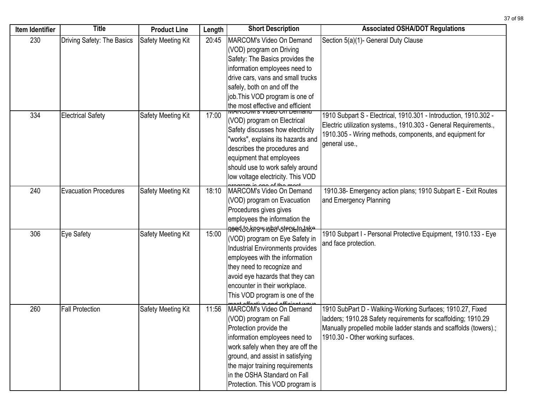| Item Identifier | <b>Title</b>                 | <b>Product Line</b>       | Length | <b>Short Description</b>                                                                                                                                                                                                                                                                                                             | <b>Associated OSHA/DOT Regulations</b>                                                                                                                                                                                              |
|-----------------|------------------------------|---------------------------|--------|--------------------------------------------------------------------------------------------------------------------------------------------------------------------------------------------------------------------------------------------------------------------------------------------------------------------------------------|-------------------------------------------------------------------------------------------------------------------------------------------------------------------------------------------------------------------------------------|
| 230             | Driving Safety: The Basics   | Safety Meeting Kit        | 20:45  | MARCOM's Video On Demand<br>(VOD) program on Driving<br>Safety: The Basics provides the<br>information employees need to<br>drive cars, vans and small trucks<br>safely, both on and off the<br>job. This VOD program is one of<br>the most effective and efficient                                                                  | Section 5(a)(1)- General Duty Clause                                                                                                                                                                                                |
| 334             | <b>Electrical Safety</b>     | Safety Meeting Kit        | 17:00  | <u>MARCOM S VIGEO ON Demand</u><br>(VOD) program on Electrical<br>Safety discusses how electricity<br>"works", explains its hazards and<br>describes the procedures and<br>equipment that employees<br>should use to work safely around<br>low voltage electricity. This VOD                                                         | 1910 Subpart S - Electrical, 1910.301 - Introduction, 1910.302 -<br>Electric utilization systems., 1910.303 - General Requirements.,<br>1910.305 - Wiring methods, components, and equipment for<br>general use.,                   |
| 240             | <b>Evacuation Procedures</b> | <b>Safety Meeting Kit</b> | 18:10  | nrogram is one of the most<br>(VOD) program on Evacuation<br>Procedures gives gives<br>employees the information the                                                                                                                                                                                                                 | 1910.38- Emergency action plans; 1910 Subpart E - Exit Routes<br>and Emergency Planning                                                                                                                                             |
| 306             | Eye Safety                   | Safety Meeting Kit        | 15:00  | <b>RAACCORP SEEN WERE TO A CONTRANT</b><br>(VOD) program on Eye Safety in<br><b>Industrial Environments provides</b><br>employees with the information<br>they need to recognize and<br>avoid eye hazards that they can<br>encounter in their workplace.<br>This VOD program is one of the                                           | 1910 Subpart I - Personal Protective Equipment, 1910.133 - Eye<br>and face protection.                                                                                                                                              |
| 260             | <b>Fall Protection</b>       | Safety Meeting Kit        | 11:56  | <b><i>effective and efficient</i></b><br>MARCOM's Video On Demand<br>(VOD) program on Fall<br>Protection provide the<br>information employees need to<br>work safely when they are off the<br>ground, and assist in satisfying<br>the major training requirements<br>in the OSHA Standard on Fall<br>Protection. This VOD program is | 1910 SubPart D - Walking-Working Surfaces; 1910.27, Fixed<br>ladders; 1910.28 Safety requirements for scaffolding; 1910.29<br>Manually propelled mobile ladder stands and scaffolds (towers).;<br>1910.30 - Other working surfaces. |

37 of 98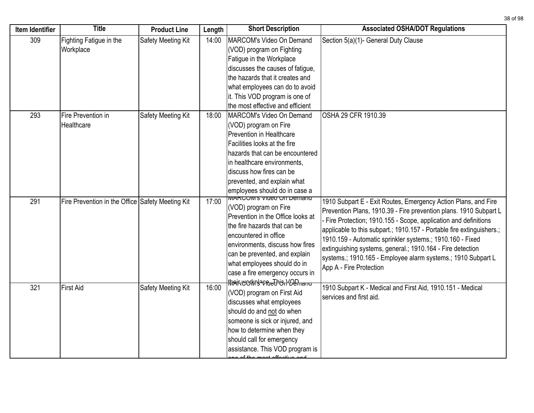| Item Identifier | <b>Title</b>                                     | <b>Product Line</b>       | Length | <b>Short Description</b>                                                                                                                                                                                                                                                                     | <b>Associated OSHA/DOT Regulations</b>                                                                                                                                                                                                                                                                                                                                                                                                                                                               |
|-----------------|--------------------------------------------------|---------------------------|--------|----------------------------------------------------------------------------------------------------------------------------------------------------------------------------------------------------------------------------------------------------------------------------------------------|------------------------------------------------------------------------------------------------------------------------------------------------------------------------------------------------------------------------------------------------------------------------------------------------------------------------------------------------------------------------------------------------------------------------------------------------------------------------------------------------------|
| 309             | Fighting Fatigue in the<br>Workplace             | <b>Safety Meeting Kit</b> | 14:00  | <b>MARCOM's Video On Demand</b><br>(VOD) program on Fighting<br>Fatigue in the Workplace<br>discusses the causes of fatigue,<br>the hazards that it creates and<br>what employees can do to avoid<br>it. This VOD program is one of<br>the most effective and efficient                      | Section 5(a)(1)- General Duty Clause                                                                                                                                                                                                                                                                                                                                                                                                                                                                 |
| 293             | Fire Prevention in<br>Healthcare                 | Safety Meeting Kit        | 18:00  | MARCOM's Video On Demand<br>(VOD) program on Fire<br><b>Prevention in Healthcare</b><br>Facilities looks at the fire<br>hazards that can be encountered<br>in healthcare environments,<br>discuss how fires can be<br>prevented, and explain what<br>employees should do in case a           | OSHA 29 CFR 1910.39                                                                                                                                                                                                                                                                                                                                                                                                                                                                                  |
| 291             | Fire Prevention in the Office Safety Meeting Kit |                           | 17:00  | <b>MARCOM'S VIDEO ON Demand</b><br>(VOD) program on Fire<br>Prevention in the Office looks at<br>the fire hazards that can be<br>encountered in office<br>environments, discuss how fires<br>can be prevented, and explain<br>what employees should do in<br>case a fire emergency occurs in | 1910 Subpart E - Exit Routes, Emergency Action Plans, and Fire<br>Prevention Plans, 1910.39 - Fire prevention plans. 1910 Subpart L<br>Fire Protection; 1910.155 - Scope, application and definitions<br>applicable to this subpart.; 1910.157 - Portable fire extinguishers.;<br>1910.159 - Automatic sprinkler systems.; 1910.160 - Fixed<br>extinguishing systems, general.; 1910.164 - Fire detection<br>systems.; 1910.165 - Employee alarm systems.; 1910 Subpart L<br>App A - Fire Protection |
| 321             | <b>First Aid</b>                                 | Safety Meeting Kit        | 16:00  | <del>thainworknl°crueUrisnYDenianu</del><br>(VOD) program on First Aid<br>discusses what employees<br>should do and not do when<br>someone is sick or injured, and<br>how to determine when they<br>should call for emergency<br>assistance. This VOD program is<br>t the most offective and | 1910 Subpart K - Medical and First Aid, 1910.151 - Medical<br>services and first aid.                                                                                                                                                                                                                                                                                                                                                                                                                |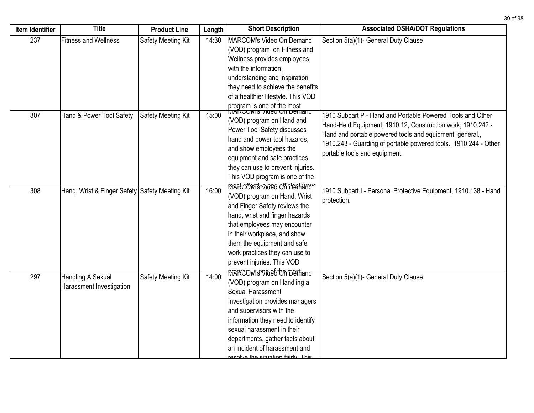| <b>Item Identifier</b> | <b>Title</b>                                   | <b>Product Line</b>       | Length | <b>Short Description</b>                                                                                                                                                                                                                                                                                                           | <b>Associated OSHA/DOT Regulations</b>                                                                                                                                                                                                                                                     |
|------------------------|------------------------------------------------|---------------------------|--------|------------------------------------------------------------------------------------------------------------------------------------------------------------------------------------------------------------------------------------------------------------------------------------------------------------------------------------|--------------------------------------------------------------------------------------------------------------------------------------------------------------------------------------------------------------------------------------------------------------------------------------------|
| 237                    | <b>Fitness and Wellness</b>                    | <b>Safety Meeting Kit</b> | 14:30  | <b>MARCOM's Video On Demand</b><br>(VOD) program on Fitness and<br>Wellness provides employees<br>with the information,<br>understanding and inspiration<br>they need to achieve the benefits<br>of a healthier lifestyle. This VOD<br>program is one of the most<br>MAKCOM's video Off Demand                                     | Section 5(a)(1)- General Duty Clause                                                                                                                                                                                                                                                       |
| 307                    | Hand & Power Tool Safety                       | <b>Safety Meeting Kit</b> | 15:00  | (VOD) program on Hand and<br>Power Tool Safety discusses<br>hand and power tool hazards,<br>and show employees the<br>equipment and safe practices<br>they can use to prevent injuries.<br>This VOD program is one of the                                                                                                          | 1910 Subpart P - Hand and Portable Powered Tools and Other<br>Hand-Held Equipment, 1910.12, Construction work; 1910.242 -<br>Hand and portable powered tools and equipment, general.,<br>1910.243 - Guarding of portable powered tools., 1910.244 - Other<br>portable tools and equipment. |
| 308                    | Hand, Wrist & Finger Safety Safety Meeting Kit |                           | 16:00  | martctm's vided officientum"<br>(VOD) program on Hand, Wrist<br>and Finger Safety reviews the<br>hand, wrist and finger hazards<br>that employees may encounter<br>in their workplace, and show<br>them the equipment and safe<br>work practices they can use to<br>prevent injuries. This VOD                                     | 1910 Subpart I - Personal Protective Equipment, 1910.138 - Hand<br>protection.                                                                                                                                                                                                             |
| 297                    | Handling A Sexual<br>Harassment Investigation  | Safety Meeting Kit        | 14:00  | <del>MARCOMร°งฌeย์'On Defhang</del><br>(VOD) program on Handling a<br>Sexual Harassment<br>Investigation provides managers<br>and supervisors with the<br>information they need to identify<br>sexual harassment in their<br>departments, gather facts about<br>an incident of harassment and<br>ecolve the cituation fairly. This | Section 5(a)(1)- General Duty Clause                                                                                                                                                                                                                                                       |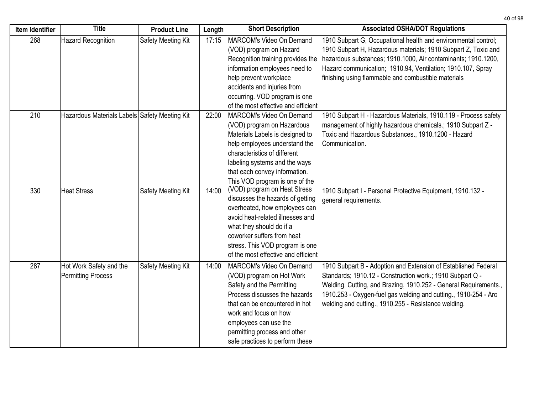| <b>Title</b><br><b>Short Description</b><br>Item Identifier<br><b>Product Line</b><br>Length                                                                  | <b>Associated OSHA/DOT Regulations</b> |
|---------------------------------------------------------------------------------------------------------------------------------------------------------------|----------------------------------------|
| 268<br>Safety Meeting Kit<br>17:15<br>MARCOM's Video On Demand<br>1910 Subpart G, Occupational health and environmental control;<br><b>Hazard Recognition</b> |                                        |
| 1910 Subpart H, Hazardous materials; 1910 Subpart Z, Toxic and<br>(VOD) program on Hazard                                                                     |                                        |
| Recognition training provides the<br>hazardous substances; 1910.1000, Air contaminants; 1910.1200,                                                            |                                        |
| information employees need to<br>Hazard communication; 1910.94, Ventilation; 1910.107, Spray                                                                  |                                        |
| help prevent workplace<br>finishing using flammable and combustible materials                                                                                 |                                        |
| accidents and injuries from                                                                                                                                   |                                        |
| occurring. VOD program is one                                                                                                                                 |                                        |
| of the most effective and efficient                                                                                                                           |                                        |
| 210<br>Hazardous Materials Labels Safety Meeting Kit<br>MARCOM's Video On Demand<br>22:00<br>1910 Subpart H - Hazardous Materials, 1910.119 - Process safety  |                                        |
| (VOD) program on Hazardous<br>management of highly hazardous chemicals.; 1910 Subpart Z -                                                                     |                                        |
| Toxic and Hazardous Substances., 1910.1200 - Hazard<br>Materials Labels is designed to                                                                        |                                        |
| Communication.<br>help employees understand the                                                                                                               |                                        |
| characteristics of different                                                                                                                                  |                                        |
| labeling systems and the ways                                                                                                                                 |                                        |
| that each convey information.                                                                                                                                 |                                        |
| This VOD program is one of the                                                                                                                                |                                        |
| (VOD) program on Heat Stress<br>14:00<br>330<br><b>Safety Meeting Kit</b><br>1910 Subpart I - Personal Protective Equipment, 1910.132 -<br><b>Heat Stress</b> |                                        |
| discusses the hazards of getting<br>general requirements.<br>overheated, how employees can                                                                    |                                        |
| avoid heat-related illnesses and                                                                                                                              |                                        |
| what they should do if a                                                                                                                                      |                                        |
| coworker suffers from heat                                                                                                                                    |                                        |
| stress. This VOD program is one                                                                                                                               |                                        |
| of the most effective and efficient                                                                                                                           |                                        |
|                                                                                                                                                               |                                        |
| 287<br>Hot Work Safety and the<br>Safety Meeting Kit<br>14:00<br>MARCOM's Video On Demand<br>1910 Subpart B - Adoption and Extension of Established Federal   |                                        |
| Standards; 1910.12 - Construction work.; 1910 Subpart Q -<br><b>Permitting Process</b><br>(VOD) program on Hot Work                                           |                                        |
| Safety and the Permitting<br>Welding, Cutting, and Brazing, 1910.252 - General Requirements.,<br>Process discusses the hazards                                |                                        |
| 1910.253 - Oxygen-fuel gas welding and cutting., 1910-254 - Arc<br>welding and cutting., 1910.255 - Resistance welding.<br>that can be encountered in hot     |                                        |
| work and focus on how                                                                                                                                         |                                        |
| employees can use the                                                                                                                                         |                                        |
| permitting process and other                                                                                                                                  |                                        |
| safe practices to perform these                                                                                                                               |                                        |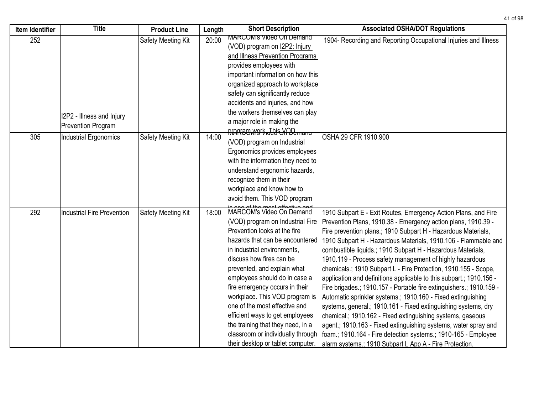| ltem Identifier | <b>Title</b>                                           | <b>Product Line</b> | Length | <b>Short Description</b>                                                                                                                                                                                                                                                                                                                              | <b>Associated OSHA/DOT Regulations</b>                                                                                                                                                                                                                                                                                                                                                                                                                                                                                                                                                                         |
|-----------------|--------------------------------------------------------|---------------------|--------|-------------------------------------------------------------------------------------------------------------------------------------------------------------------------------------------------------------------------------------------------------------------------------------------------------------------------------------------------------|----------------------------------------------------------------------------------------------------------------------------------------------------------------------------------------------------------------------------------------------------------------------------------------------------------------------------------------------------------------------------------------------------------------------------------------------------------------------------------------------------------------------------------------------------------------------------------------------------------------|
| 252             | I2P2 - Illness and Injury<br><b>Prevention Program</b> | Safety Meeting Kit  | 20:00  | <b>MARCOM'S VIDEO ON Demand</b><br>(VOD) program on <b>12P2</b> : Injury<br>and Illness Prevention Programs<br>provides employees with<br>important information on how this<br>organized approach to workplace<br>safety can significantly reduce<br>accidents and injuries, and how<br>the workers themselves can play<br>a major role in making the | 1904- Recording and Reporting Occupational Injuries and Illness                                                                                                                                                                                                                                                                                                                                                                                                                                                                                                                                                |
| 305             | <b>Industrial Ergonomics</b>                           | Safety Meeting Kit  | 14:00  | <del>๚ฅ๚๛๚๚๚๚๚๚๚</del><br>(VOD) program on Industrial<br>Ergonomics provides employees<br>with the information they need to<br>understand ergonomic hazards,<br>recognize them in their<br>workplace and know how to<br>avoid them. This VOD program                                                                                                  | OSHA 29 CFR 1910.900                                                                                                                                                                                                                                                                                                                                                                                                                                                                                                                                                                                           |
| 292             | <b>Industrial Fire Prevention</b>                      | Safety Meeting Kit  | 18:00  | in and of the most offective and<br>(VOD) program on Industrial Fire<br>Prevention looks at the fire<br>hazards that can be encountered<br>in industrial environments,<br>discuss how fires can be<br>prevented, and explain what<br>employees should do in case a<br>fire emergency occurs in their                                                  | 1910 Subpart E - Exit Routes, Emergency Action Plans, and Fire<br>Prevention Plans, 1910.38 - Emergency action plans, 1910.39 -<br>Fire prevention plans.; 1910 Subpart H - Hazardous Materials,<br>1910 Subpart H - Hazardous Materials, 1910.106 - Flammable and<br>combustible liquids.; 1910 Subpart H - Hazardous Materials,<br>1910.119 - Process safety management of highly hazardous<br>chemicals.; 1910 Subpart L - Fire Protection, 1910.155 - Scope,<br>application and definitions applicable to this subpart.; 1910.156 -<br>Fire brigades.; 1910.157 - Portable fire extinguishers.; 1910.159 - |

workplace. This VOD program is one of the most effective and efficient ways to get employees the training that they need, in a classroom or individually through their desktop or tablet computer.

Fire brigades.; 1910.157 - Portable fire extinguishers.; 1910.159 - Automatic sprinkler systems.; 1910.160 - Fixed extinguishing systems, general.; 1910.161 - Fixed extinguishing systems, dry chemical.; 1910.162 - Fixed extinguishing systems, gaseous agent.; 1910.163 - Fixed extinguishing systems, water spray and foam.; 1910.164 - Fire detection systems.; 1910-165 - Employee

alarm systems.; 1910 Subpart L App A - Fire Protection.

 $41.60$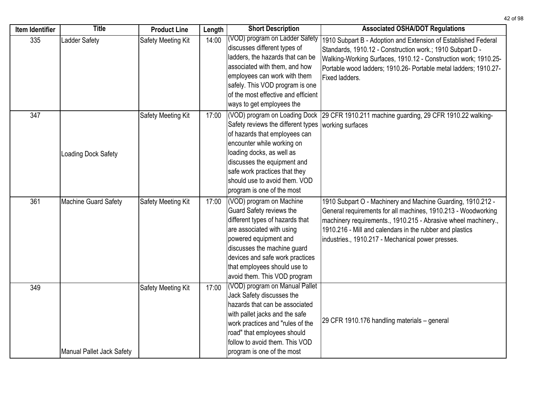| Item Identifier | <b>Title</b>                     | <b>Product Line</b> | Length | <b>Short Description</b>                                                                                                                                                                                                                                                                       | <b>Associated OSHA/DOT Regulations</b>                                                                                                                                                                                                                                                                          |
|-----------------|----------------------------------|---------------------|--------|------------------------------------------------------------------------------------------------------------------------------------------------------------------------------------------------------------------------------------------------------------------------------------------------|-----------------------------------------------------------------------------------------------------------------------------------------------------------------------------------------------------------------------------------------------------------------------------------------------------------------|
| 335             | Ladder Safety                    | Safety Meeting Kit  | 14:00  | (VOD) program on Ladder Safety<br>discusses different types of<br>ladders, the hazards that can be<br>associated with them, and how<br>employees can work with them<br>safely. This VOD program is one<br>of the most effective and efficient<br>ways to get employees the                     | 1910 Subpart B - Adoption and Extension of Established Federal<br>Standards, 1910.12 - Construction work.; 1910 Subpart D -<br>Walking-Working Surfaces, 1910.12 - Construction work; 1910.25-<br>Portable wood ladders; 1910.26- Portable metal ladders; 1910.27-<br>Fixed ladders.                            |
| 347             | <b>Loading Dock Safety</b>       | Safety Meeting Kit  | 17:00  | (VOD) program on Loading Dock<br>Safety reviews the different types<br>of hazards that employees can<br>encounter while working on<br>loading docks, as well as<br>discusses the equipment and<br>safe work practices that they<br>should use to avoid them. VOD<br>program is one of the most | 29 CFR 1910.211 machine guarding, 29 CFR 1910.22 walking-<br>working surfaces                                                                                                                                                                                                                                   |
| 361             | Machine Guard Safety             | Safety Meeting Kit  | 17:00  | (VOD) program on Machine<br>Guard Safety reviews the<br>different types of hazards that<br>are associated with using<br>powered equipment and<br>discusses the machine guard<br>devices and safe work practices<br>that employees should use to<br>avoid them. This VOD program                | 1910 Subpart O - Machinery and Machine Guarding, 1910.212 -<br>General requirements for all machines, 1910.213 - Woodworking<br>machinery requirements., 1910.215 - Abrasive wheel machinery.,<br>1910.216 - Mill and calendars in the rubber and plastics<br>industries., 1910.217 - Mechanical power presses. |
| 349             | <b>Manual Pallet Jack Safety</b> | Safety Meeting Kit  | 17:00  | (VOD) program on Manual Pallet<br>Jack Safety discusses the<br>hazards that can be associated<br>with pallet jacks and the safe<br>work practices and "rules of the<br>road" that employees should<br>follow to avoid them. This VOD<br>program is one of the most                             | 29 CFR 1910.176 handling materials - general                                                                                                                                                                                                                                                                    |

42 of 98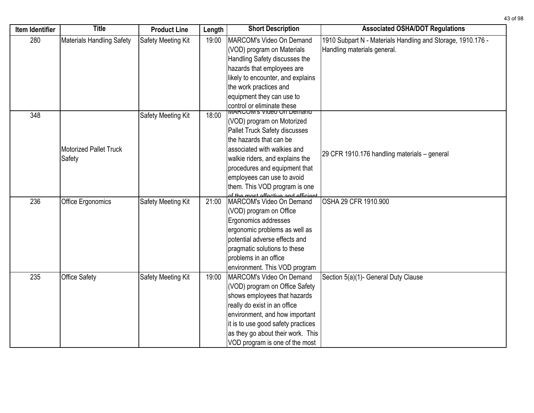| Item Identifier | <b>Title</b>                  | <b>Product Line</b> | Length | <b>Short Description</b>                                             | <b>Associated OSHA/DOT Regulations</b>                      |
|-----------------|-------------------------------|---------------------|--------|----------------------------------------------------------------------|-------------------------------------------------------------|
| 280             | Materials Handling Safety     | Safety Meeting Kit  | 19:00  | MARCOM's Video On Demand                                             | 1910 Subpart N - Materials Handling and Storage, 1910.176 - |
|                 |                               |                     |        | (VOD) program on Materials                                           | Handling materials general.                                 |
|                 |                               |                     |        | Handling Safety discusses the                                        |                                                             |
|                 |                               |                     |        | hazards that employees are                                           |                                                             |
|                 |                               |                     |        | likely to encounter, and explains                                    |                                                             |
|                 |                               |                     |        | the work practices and                                               |                                                             |
|                 |                               |                     |        | equipment they can use to                                            |                                                             |
|                 |                               |                     |        | control or eliminate these                                           |                                                             |
| 348             |                               | Safety Meeting Kit  | 18:00  | MARCOM S VIGEO ON DEMANG                                             |                                                             |
|                 |                               |                     |        | (VOD) program on Motorized                                           |                                                             |
|                 |                               |                     |        | <b>Pallet Truck Safety discusses</b><br>the hazards that can be      |                                                             |
|                 |                               |                     |        |                                                                      |                                                             |
|                 | <b>Motorized Pallet Truck</b> |                     |        | associated with walkies and                                          | 29 CFR 1910.176 handling materials - general                |
|                 | Safety                        |                     |        | walkie riders, and explains the                                      |                                                             |
|                 |                               |                     |        | procedures and equipment that                                        |                                                             |
|                 |                               |                     |        | employees can use to avoid                                           |                                                             |
|                 |                               |                     |        | them. This VOD program is one<br>of the most effective and efficient |                                                             |
| 236             | Office Ergonomics             | Safety Meeting Kit  | 21:00  | MARCOM's Video On Demand                                             | OSHA 29 CFR 1910.900                                        |
|                 |                               |                     |        | (VOD) program on Office                                              |                                                             |
|                 |                               |                     |        | Ergonomics addresses                                                 |                                                             |
|                 |                               |                     |        | ergonomic problems as well as                                        |                                                             |
|                 |                               |                     |        | potential adverse effects and                                        |                                                             |
|                 |                               |                     |        | pragmatic solutions to these                                         |                                                             |
|                 |                               |                     |        | problems in an office                                                |                                                             |
|                 |                               |                     |        | environment. This VOD program                                        |                                                             |
| 235             | <b>Office Safety</b>          | Safety Meeting Kit  | 19:00  | MARCOM's Video On Demand                                             | Section 5(a)(1)- General Duty Clause                        |
|                 |                               |                     |        | (VOD) program on Office Safety                                       |                                                             |
|                 |                               |                     |        | shows employees that hazards                                         |                                                             |
|                 |                               |                     |        | really do exist in an office                                         |                                                             |
|                 |                               |                     |        | environment, and how important                                       |                                                             |
|                 |                               |                     |        | it is to use good safety practices                                   |                                                             |
|                 |                               |                     |        | as they go about their work. This                                    |                                                             |
|                 |                               |                     |        | VOD program is one of the most                                       |                                                             |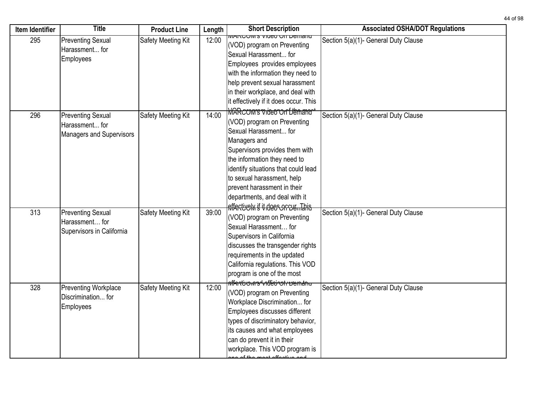| Item Identifier | <b>Title</b>                                                            | <b>Product Line</b> | Length | <b>Short Description</b>                                                                                                                                                                                                                                                                                                                            | <b>Associated OSHA/DOT Regulations</b> |
|-----------------|-------------------------------------------------------------------------|---------------------|--------|-----------------------------------------------------------------------------------------------------------------------------------------------------------------------------------------------------------------------------------------------------------------------------------------------------------------------------------------------------|----------------------------------------|
| 295             | <b>Preventing Sexual</b><br>Harassment for<br>Employees                 | Safety Meeting Kit  | 12:00  | <u>מותארושע ווט טשטוע פוווער</u><br>(VOD) program on Preventing<br>Sexual Harassment for<br>Employees provides employees<br>with the information they need to<br>help prevent sexual harassment<br>in their workplace, and deal with<br>it effectively if it does occur. This                                                                       | Section 5(a)(1)- General Duty Clause   |
| 296             | <b>Preventing Sexual</b><br>Harassment for<br>Managers and Supervisors  | Safety Meeting Kit  | 14:00  | <b>MARCOM's video on Utmand</b><br>(VOD) program on Preventing<br>Sexual Harassment for<br>Managers and<br>Supervisors provides them with<br>the information they need to<br>identify situations that could lead<br>to sexual harassment, help<br>prevent harassment in their<br>departments, and deal with it<br>Rffertvely if it dees or the This | Section 5(a)(1)- General Duty Clause   |
| 313             | <b>Preventing Sexual</b><br>Harassment for<br>Supervisors in California | Safety Meeting Kit  | 39:00  | (VOD) program on Preventing<br>Sexual Harassment for<br>Supervisors in California<br>discusses the transgender rights<br>requirements in the updated<br>California regulations. This VOD<br>program is one of the most<br><del>᠗ᡏᡘᡢᡃ᠋᠅᠐᠗᠊Ⴝᠰ᠗᠋ᡏᠮᡠ᠔᠔ᡀᡃᢧᡈ᠓ᡆ</del>                                                                                      | Section 5(a)(1)- General Duty Clause   |
| 328             | <b>Preventing Workplace</b><br>Discrimination for<br>Employees          | Safety Meeting Kit  | 12:00  | (VOD) program on Preventing<br>Workplace Discrimination for<br>Employees discusses different<br>types of discriminatory behavior,<br>its causes and what employees<br>can do prevent it in their<br>workplace. This VOD program is<br>tha maat affaatiya ang                                                                                        | Section 5(a)(1)- General Duty Clause   |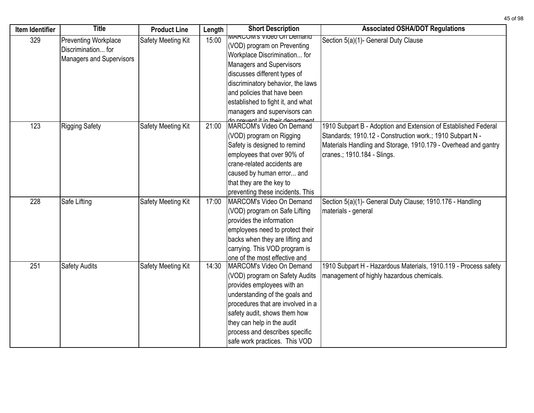| Item Identifier | <b>Title</b>                                                                  | <b>Product Line</b>       | Length | <b>Short Description</b>                                                                                                                                                                                                                                                                                                                 | <b>Associated OSHA/DOT Regulations</b>                                                                                                                                                                                       |
|-----------------|-------------------------------------------------------------------------------|---------------------------|--------|------------------------------------------------------------------------------------------------------------------------------------------------------------------------------------------------------------------------------------------------------------------------------------------------------------------------------------------|------------------------------------------------------------------------------------------------------------------------------------------------------------------------------------------------------------------------------|
| 329             | Preventing Workplace<br>Discrimination for<br><b>Managers and Supervisors</b> | Safety Meeting Kit        | 15:00  | <b>MARCOM'S VIDEO ON DEMAND</b><br>(VOD) program on Preventing<br>Workplace Discrimination for<br>Managers and Supervisors<br>discusses different types of<br>discriminatory behavior, the laws<br>and policies that have been<br>established to fight it, and what<br>managers and supervisors can<br>do provent it in their department | Section 5(a)(1)- General Duty Clause                                                                                                                                                                                         |
| 123             | <b>Rigging Safety</b>                                                         | Safety Meeting Kit        | 21:00  | <b>MARCOM's Video On Demand</b><br>(VOD) program on Rigging<br>Safety is designed to remind<br>employees that over 90% of<br>crane-related accidents are<br>caused by human error and<br>that they are the key to<br>preventing these incidents. This                                                                                    | 1910 Subpart B - Adoption and Extension of Established Federal<br>Standards; 1910.12 - Construction work.; 1910 Subpart N -<br>Materials Handling and Storage, 1910.179 - Overhead and gantry<br>cranes.; 1910.184 - Slings. |
| 228             | Safe Lifting                                                                  | Safety Meeting Kit        | 17:00  | <b>MARCOM's Video On Demand</b><br>(VOD) program on Safe Lifting<br>provides the information<br>employees need to protect their<br>backs when they are lifting and<br>carrying. This VOD program is<br>one of the most effective and                                                                                                     | Section 5(a)(1)- General Duty Clause; 1910.176 - Handling<br>materials - general                                                                                                                                             |
| 251             | <b>Safety Audits</b>                                                          | <b>Safety Meeting Kit</b> | 14:30  | <b>MARCOM's Video On Demand</b><br>(VOD) program on Safety Audits<br>provides employees with an<br>understanding of the goals and<br>procedures that are involved in a<br>safety audit, shows them how<br>they can help in the audit<br>process and describes specific<br>safe work practices. This VOD                                  | 1910 Subpart H - Hazardous Materials, 1910.119 - Process safety<br>management of highly hazardous chemicals.                                                                                                                 |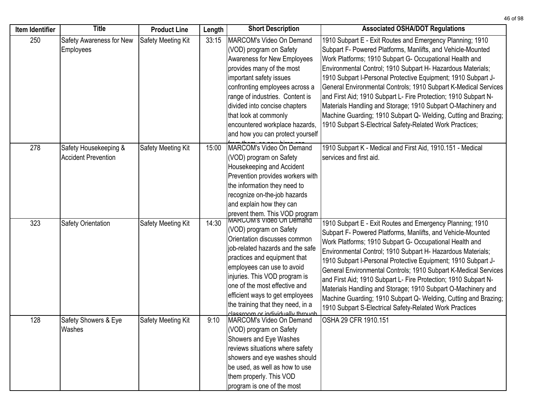| Item Identifier | <b>Title</b>                                        | <b>Product Line</b>       | Length | <b>Short Description</b>                                                                                                                                                                                                                                                                                                                                             | <b>Associated OSHA/DOT Regulations</b>                                                                                                                                                                                                                                                                                                                                                                                                                                                                                                                                                                                                                   |
|-----------------|-----------------------------------------------------|---------------------------|--------|----------------------------------------------------------------------------------------------------------------------------------------------------------------------------------------------------------------------------------------------------------------------------------------------------------------------------------------------------------------------|----------------------------------------------------------------------------------------------------------------------------------------------------------------------------------------------------------------------------------------------------------------------------------------------------------------------------------------------------------------------------------------------------------------------------------------------------------------------------------------------------------------------------------------------------------------------------------------------------------------------------------------------------------|
| 250             | Safety Awareness for New<br><b>Employees</b>        | <b>Safety Meeting Kit</b> | 33:15  | <b>MARCOM's Video On Demand</b><br>(VOD) program on Safety<br>Awareness for New Employees<br>provides many of the most<br>important safety issues<br>confronting employees across a<br>range of industries. Content is<br>divided into concise chapters<br>that look at commonly<br>encountered workplace hazards,<br>and how you can protect yourself               | 1910 Subpart E - Exit Routes and Emergency Planning; 1910<br>Subpart F- Powered Platforms, Manlifts, and Vehicle-Mounted<br>Work Platforms; 1910 Subpart G- Occupational Health and<br>Environmental Control; 1910 Subpart H- Hazardous Materials;<br>1910 Subpart I-Personal Protective Equipment; 1910 Subpart J-<br>General Environmental Controls; 1910 Subpart K-Medical Services<br>and First Aid; 1910 Subpart L- Fire Protection; 1910 Subpart N-<br>Materials Handling and Storage; 1910 Subpart O-Machinery and<br>Machine Guarding; 1910 Subpart Q- Welding, Cutting and Brazing;<br>1910 Subpart S-Electrical Safety-Related Work Practices; |
| 278             | Safety Housekeeping &<br><b>Accident Prevention</b> | Safety Meeting Kit        | 15:00  | MARCOM's Video On Demand<br>(VOD) program on Safety<br>Housekeeping and Accident<br>Prevention provides workers with<br>the information they need to<br>recognize on-the-job hazards<br>and explain how they can<br>prevent them. This VOD program                                                                                                                   | 1910 Subpart K - Medical and First Aid, 1910.151 - Medical<br>services and first aid.                                                                                                                                                                                                                                                                                                                                                                                                                                                                                                                                                                    |
| 323             | Safety Orientation                                  | Safety Meeting Kit        | 14:30  | MARCOM's Video On Demand<br>(VOD) program on Safety<br>Orientation discusses common<br>job-related hazards and the safe<br>practices and equipment that<br>employees can use to avoid<br>injuries. This VOD program is<br>one of the most effective and<br>efficient ways to get employees<br>the training that they need, in a<br>classroom or individually through | 1910 Subpart E - Exit Routes and Emergency Planning; 1910<br>Subpart F- Powered Platforms, Manlifts, and Vehicle-Mounted<br>Work Platforms; 1910 Subpart G- Occupational Health and<br>Environmental Control; 1910 Subpart H- Hazardous Materials;<br>1910 Subpart I-Personal Protective Equipment; 1910 Subpart J-<br>General Environmental Controls; 1910 Subpart K-Medical Services<br>and First Aid; 1910 Subpart L- Fire Protection; 1910 Subpart N-<br>Materials Handling and Storage; 1910 Subpart O-Machinery and<br>Machine Guarding; 1910 Subpart Q- Welding, Cutting and Brazing;<br>1910 Subpart S-Electrical Safety-Related Work Practices  |
| 128             | Safety Showers & Eye<br>Washes                      | <b>Safety Meeting Kit</b> | 9:10   | MARCOM's Video On Demand<br>(VOD) program on Safety<br>Showers and Eye Washes<br>reviews situations where safety<br>showers and eye washes should<br>be used, as well as how to use<br>them properly. This VOD<br>program is one of the most                                                                                                                         | OSHA 29 CFR 1910.151                                                                                                                                                                                                                                                                                                                                                                                                                                                                                                                                                                                                                                     |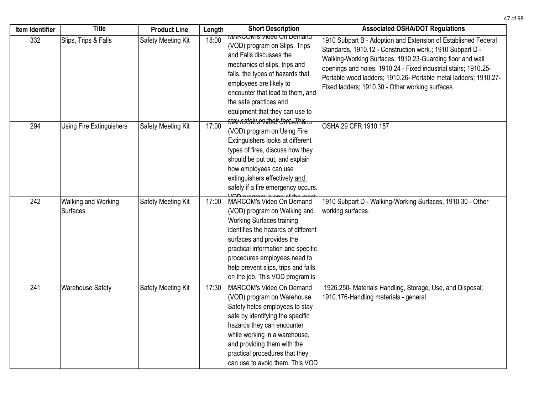| Item Identifier | <b>Title</b>                           | <b>Product Line</b> | Length | <b>Short Description</b>                                                                                                                                                                                                                                                                                         | <b>Associated OSHA/DOT Regulations</b>                                                                                                                                                                                                                                                                                                                                              |
|-----------------|----------------------------------------|---------------------|--------|------------------------------------------------------------------------------------------------------------------------------------------------------------------------------------------------------------------------------------------------------------------------------------------------------------------|-------------------------------------------------------------------------------------------------------------------------------------------------------------------------------------------------------------------------------------------------------------------------------------------------------------------------------------------------------------------------------------|
| 332             | Slips, Trips & Falls                   | Safety Meeting Kit  | 18:00  | <b>MARCOM'S VIDEO ON Demand</b><br>(VOD) program on Slips, Trips<br>and Falls discusses the<br>mechanics of slips, trips and<br>falls, the types of hazards that<br>employees are likely to<br>encounter that lead to them, and<br>the safe practices and<br>equipment that they can use to                      | 1910 Subpart B - Adoption and Extension of Established Federal<br>Standards, 1910.12 - Construction work.; 1910 Subpart D -<br>Walking-Working Surfaces, 1910.23-Guarding floor and wall<br>openings and holes; 1910.24 - Fixed industrial stairs; 1910.25-<br>Portable wood ladders; 1910.26- Portable metal ladders; 1910.27-<br>Fixed ladders; 1910.30 - Other working surfaces. |
| 294             | <b>Using Fire Extinguishers</b>        | Safety Meeting Kit  | 17:00  | <del>MAKCÚMYs vitleu Ún Lehiánu</del><br>(VOD) program on Using Fire<br>Extinguishers looks at different<br>types of fires, discuss how they<br>should be put out, and explain<br>how employees can use<br>extinguishers effectively and<br>safely if a fire emergency occurs.                                   | OSHA 29 CFR 1910.157                                                                                                                                                                                                                                                                                                                                                                |
| 242             | Walking and Working<br><b>Surfaces</b> | Safety Meeting Kit  | 17:00  | MARCOM's Video On Demand<br>(VOD) program on Walking and<br><b>Working Surfaces training</b><br>identifies the hazards of different<br>surfaces and provides the<br>practical information and specific<br>procedures employees need to<br>help prevent slips, trips and falls<br>on the job. This VOD program is | 1910 Subpart D - Walking-Working Surfaces, 1910.30 - Other<br>working surfaces.                                                                                                                                                                                                                                                                                                     |
| 241             | <b>Warehouse Safety</b>                | Safety Meeting Kit  | 17:30  | MARCOM's Video On Demand<br>(VOD) program on Warehouse<br>Safety helps employees to stay<br>safe by identifying the specific<br>hazards they can encounter<br>while working in a warehouse,<br>and providing them with the<br>practical procedures that they<br>can use to avoid them. This VOD                  | 1926.250- Materials Handling, Storage, Use, and Disposal;<br>1910.176-Handling materials - general.                                                                                                                                                                                                                                                                                 |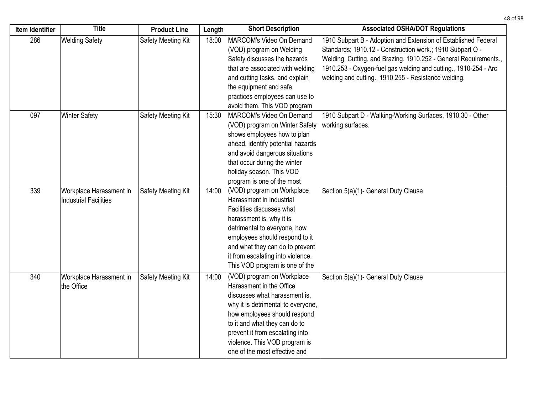| Item Identifier | <b>Title</b>                                            | <b>Product Line</b>       | Length | <b>Short Description</b>                                                                                                                                                                                                                                                                            | <b>Associated OSHA/DOT Regulations</b>                                                                                                                                                                                                                                                                                     |
|-----------------|---------------------------------------------------------|---------------------------|--------|-----------------------------------------------------------------------------------------------------------------------------------------------------------------------------------------------------------------------------------------------------------------------------------------------------|----------------------------------------------------------------------------------------------------------------------------------------------------------------------------------------------------------------------------------------------------------------------------------------------------------------------------|
| 286             | <b>Welding Safety</b>                                   | <b>Safety Meeting Kit</b> | 18:00  | MARCOM's Video On Demand<br>(VOD) program on Welding<br>Safety discusses the hazards<br>that are associated with welding<br>and cutting tasks, and explain<br>the equipment and safe<br>practices employees can use to<br>avoid them. This VOD program                                              | 1910 Subpart B - Adoption and Extension of Established Federal<br>Standards; 1910.12 - Construction work.; 1910 Subpart Q -<br>Welding, Cutting, and Brazing, 1910.252 - General Requirements.,<br>1910.253 - Oxygen-fuel gas welding and cutting., 1910-254 - Arc<br>welding and cutting., 1910.255 - Resistance welding. |
| 097             | <b>Winter Safety</b>                                    | <b>Safety Meeting Kit</b> | 15:30  | MARCOM's Video On Demand<br>(VOD) program on Winter Safety<br>shows employees how to plan<br>ahead, identify potential hazards<br>and avoid dangerous situations<br>that occur during the winter<br>holiday season. This VOD<br>program is one of the most                                          | 1910 Subpart D - Walking-Working Surfaces, 1910.30 - Other<br>working surfaces.                                                                                                                                                                                                                                            |
| 339             | Workplace Harassment in<br><b>Industrial Facilities</b> | Safety Meeting Kit        | 14:00  | (VOD) program on Workplace<br>Harassment in Industrial<br>Facilities discusses what<br>harassment is, why it is<br>detrimental to everyone, how<br>employees should respond to it<br>and what they can do to prevent<br>it from escalating into violence.<br>This VOD program is one of the         | Section 5(a)(1)- General Duty Clause                                                                                                                                                                                                                                                                                       |
| 340             | Workplace Harassment in<br>the Office                   | <b>Safety Meeting Kit</b> | 14:00  | (VOD) program on Workplace<br>Harassment in the Office<br>discusses what harassment is,<br>why it is detrimental to everyone,<br>how employees should respond<br>to it and what they can do to<br>prevent it from escalating into<br>violence. This VOD program is<br>one of the most effective and | Section 5(a)(1)- General Duty Clause                                                                                                                                                                                                                                                                                       |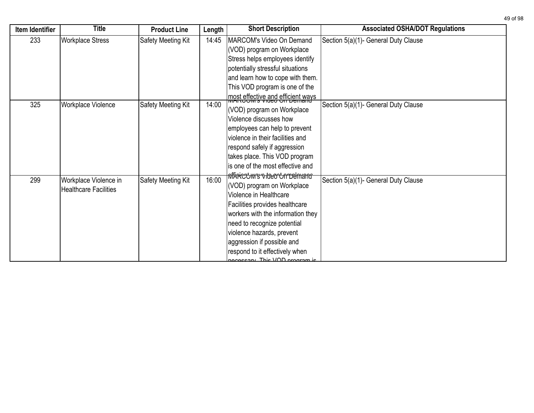| Item Identifier | <b>Title</b>                 | <b>Product Line</b>       | Length | <b>Short Description</b>            | <b>Associated OSHA/DOT Regulations</b> |
|-----------------|------------------------------|---------------------------|--------|-------------------------------------|----------------------------------------|
| 233             | <b>Workplace Stress</b>      | Safety Meeting Kit        | 14:45  | MARCOM's Video On Demand            | Section 5(a)(1)- General Duty Clause   |
|                 |                              |                           |        | (VOD) program on Workplace          |                                        |
|                 |                              |                           |        | Stress helps employees identify     |                                        |
|                 |                              |                           |        | potentially stressful situations    |                                        |
|                 |                              |                           |        | and learn how to cope with them.    |                                        |
|                 |                              |                           |        | This VOD program is one of the      |                                        |
|                 |                              |                           |        | most effective and efficient ways   |                                        |
| 325             | Workplace Violence           | <b>Safety Meeting Kit</b> | 14:00  | (VOD) program on Workplace          | Section 5(a)(1)- General Duty Clause   |
|                 |                              |                           |        | Violence discusses how              |                                        |
|                 |                              |                           |        | employees can help to prevent       |                                        |
|                 |                              |                           |        | violence in their facilities and    |                                        |
|                 |                              |                           |        | respond safely if aggression        |                                        |
|                 |                              |                           |        | takes place. This VOD program       |                                        |
|                 |                              |                           |        | is one of the most effective and    |                                        |
|                 |                              |                           |        | <del>MAKCUM'S viaeoUn Delmana</del> |                                        |
| 299             | Workplace Violence in        | Safety Meeting Kit        | 16:00  | (VOD) program on Workplace          | Section 5(a)(1)- General Duty Clause   |
|                 | <b>Healthcare Facilities</b> |                           |        | Violence in Healthcare              |                                        |
|                 |                              |                           |        | Facilities provides healthcare      |                                        |
|                 |                              |                           |        | workers with the information they   |                                        |
|                 |                              |                           |        | need to recognize potential         |                                        |
|                 |                              |                           |        | violence hazards, prevent           |                                        |
|                 |                              |                           |        | aggression if possible and          |                                        |
|                 |                              |                           |        | respond to it effectively when      |                                        |
|                 |                              |                           |        | annoceany This VOD program is       |                                        |

49 of 98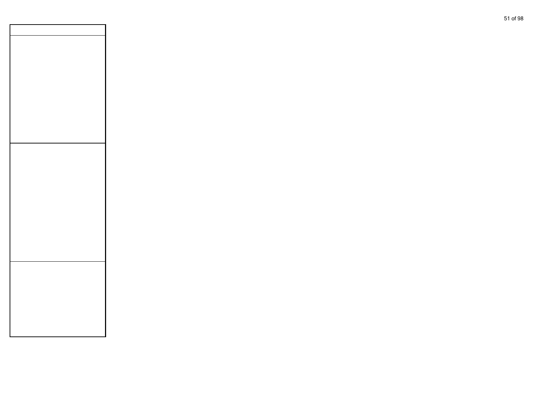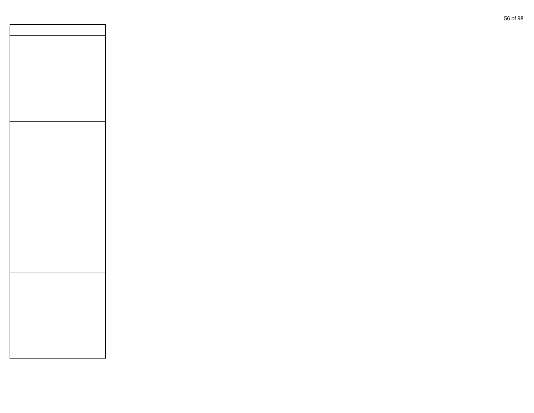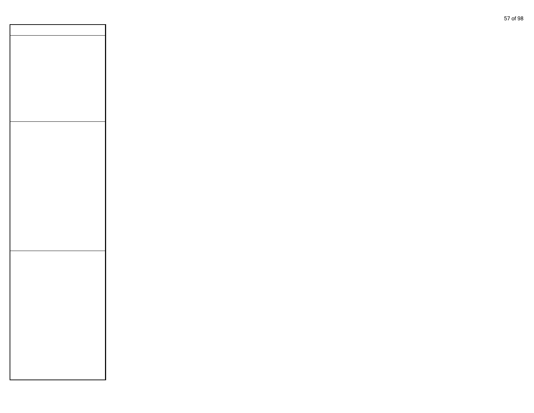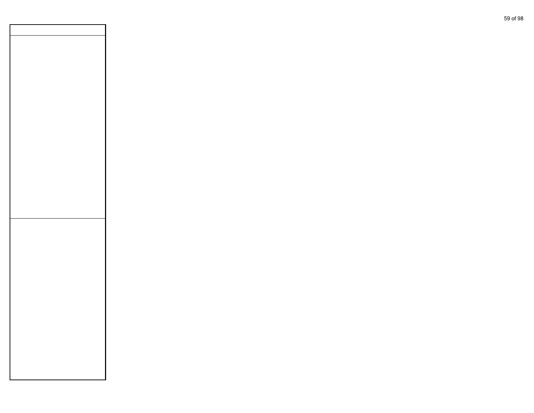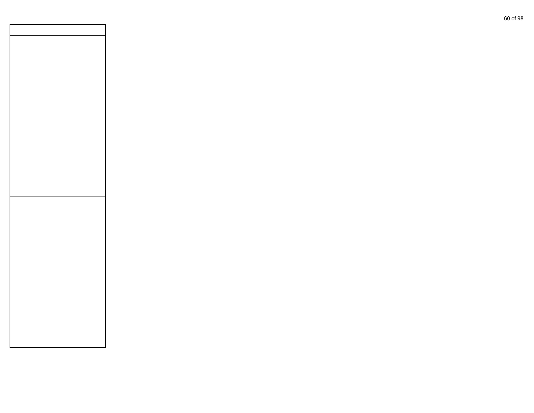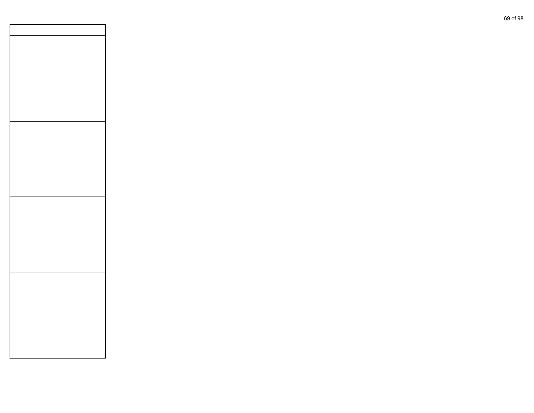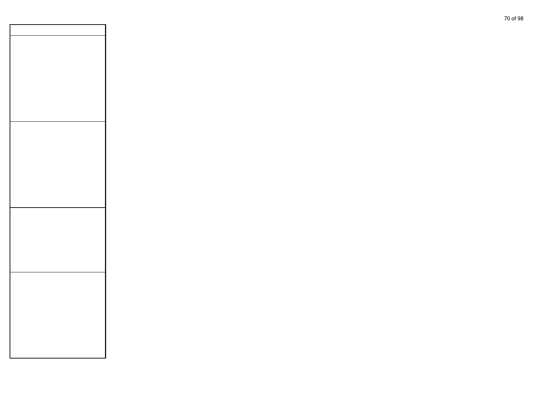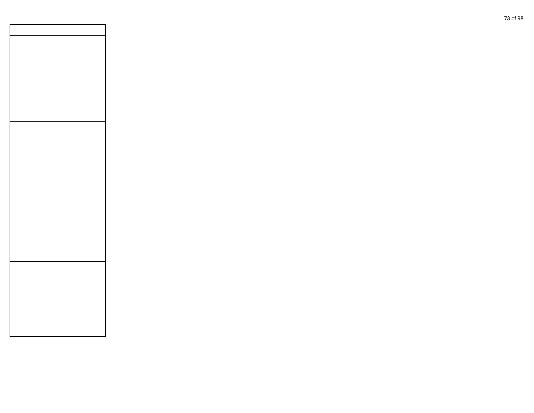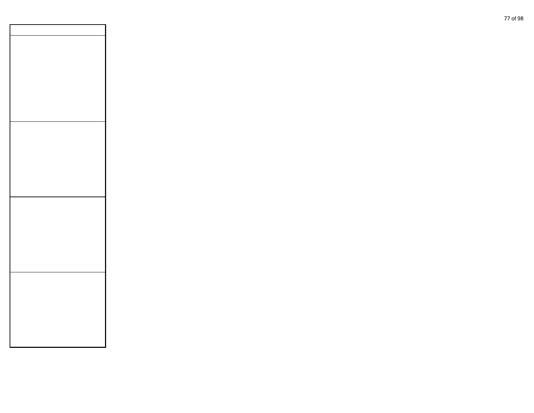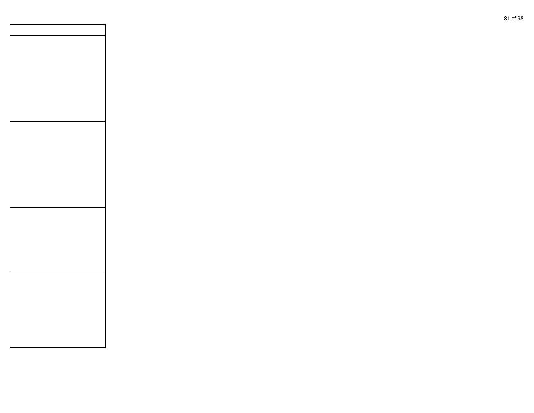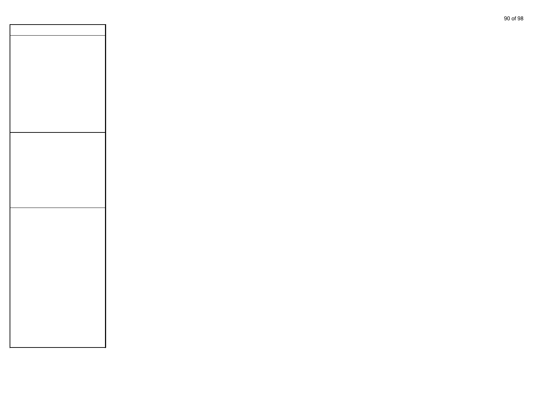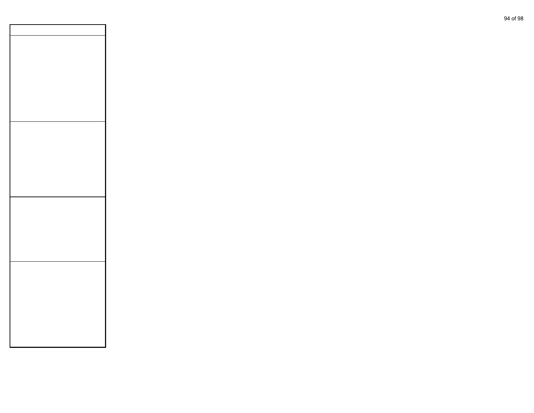